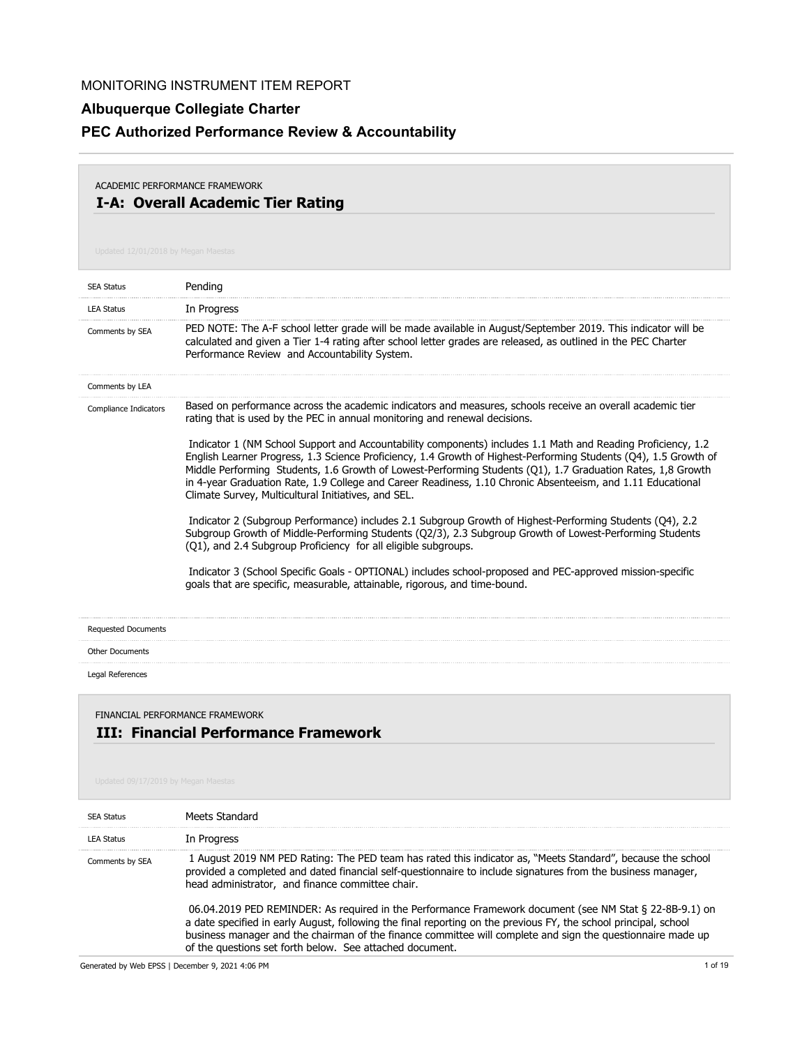# **Albuquerque Collegiate Charter**

# **PEC Authorized Performance Review & Accountability**

### **I-A: Overall Academic Tier Rating** ACADEMIC PERFORMANCE FRAMEWORK

| <b>SEA Status</b>                   | Pending                                                                                                                                                                                                                                                                                                                                                                                                                                                                                                               |
|-------------------------------------|-----------------------------------------------------------------------------------------------------------------------------------------------------------------------------------------------------------------------------------------------------------------------------------------------------------------------------------------------------------------------------------------------------------------------------------------------------------------------------------------------------------------------|
| <b>LEA Status</b>                   | In Progress                                                                                                                                                                                                                                                                                                                                                                                                                                                                                                           |
| Comments by SEA                     | PED NOTE: The A-F school letter grade will be made available in August/September 2019. This indicator will be<br>calculated and given a Tier 1-4 rating after school letter grades are released, as outlined in the PEC Charter<br>Performance Review and Accountability System.                                                                                                                                                                                                                                      |
| Comments by LEA                     |                                                                                                                                                                                                                                                                                                                                                                                                                                                                                                                       |
| Compliance Indicators               | Based on performance across the academic indicators and measures, schools receive an overall academic tier<br>rating that is used by the PEC in annual monitoring and renewal decisions.                                                                                                                                                                                                                                                                                                                              |
|                                     | Indicator 1 (NM School Support and Accountability components) includes 1.1 Math and Reading Proficiency, 1.2<br>English Learner Progress, 1.3 Science Proficiency, 1.4 Growth of Highest-Performing Students (Q4), 1.5 Growth of<br>Middle Performing Students, 1.6 Growth of Lowest-Performing Students (Q1), 1.7 Graduation Rates, 1,8 Growth<br>in 4-year Graduation Rate, 1.9 College and Career Readiness, 1.10 Chronic Absenteeism, and 1.11 Educational<br>Climate Survey, Multicultural Initiatives, and SEL. |
|                                     | Indicator 2 (Subgroup Performance) includes 2.1 Subgroup Growth of Highest-Performing Students (O4), 2.2<br>Subgroup Growth of Middle-Performing Students (Q2/3), 2.3 Subgroup Growth of Lowest-Performing Students<br>(Q1), and 2.4 Subgroup Proficiency for all eligible subgroups.                                                                                                                                                                                                                                 |
|                                     | Indicator 3 (School Specific Goals - OPTIONAL) includes school-proposed and PEC-approved mission-specific<br>goals that are specific, measurable, attainable, rigorous, and time-bound.                                                                                                                                                                                                                                                                                                                               |
| <b>Requested Documents</b>          |                                                                                                                                                                                                                                                                                                                                                                                                                                                                                                                       |
| <b>Other Documents</b>              |                                                                                                                                                                                                                                                                                                                                                                                                                                                                                                                       |
| Legal References                    |                                                                                                                                                                                                                                                                                                                                                                                                                                                                                                                       |
| Updated 09/17/2019 by Megan Maestas | FINANCIAL PERFORMANCE FRAMEWORK<br><b>III: Financial Performance Framework</b>                                                                                                                                                                                                                                                                                                                                                                                                                                        |
| <b>SEA Status</b>                   | Meets Standard                                                                                                                                                                                                                                                                                                                                                                                                                                                                                                        |
| <b>LEA Status</b>                   | In Progress                                                                                                                                                                                                                                                                                                                                                                                                                                                                                                           |
| Comments by SEA                     | 1 August 2019 NM PED Rating: The PED team has rated this indicator as, "Meets Standard", because the school<br>provided a completed and dated financial self-questionnaire to include signatures from the business manager,<br>head administrator, and finance committee chair.                                                                                                                                                                                                                                       |
|                                     | 06.04.2019 PED REMINDER: As required in the Performance Framework document (see NM Stat § 22-8B-9.1) on<br>a date specified in early August, following the final reporting on the previous FY, the school principal, school<br>business manager and the chairman of the finance committee will complete and sign the questionnaire made up<br>of the questions set forth below. See attached document.                                                                                                                |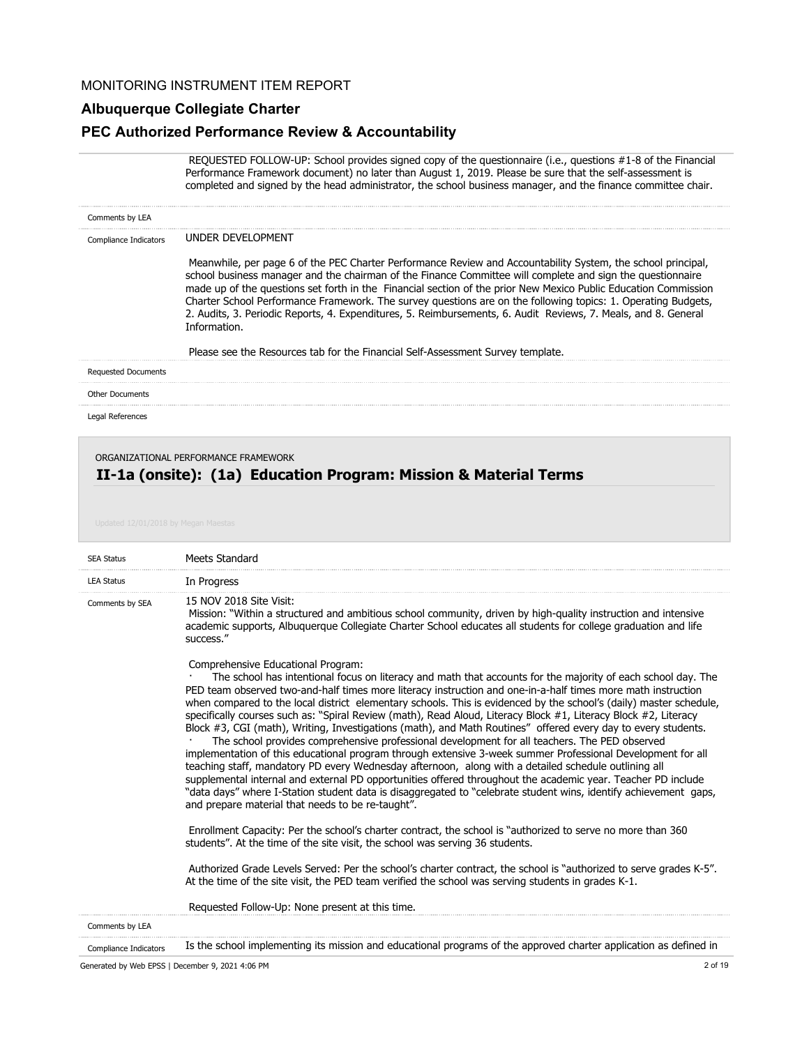#### **Albuquerque Collegiate Charter**

#### **PEC Authorized Performance Review & Accountability**

 REQUESTED FOLLOW-UP: School provides signed copy of the questionnaire (i.e., questions #1-8 of the Financial Performance Framework document) no later than August 1, 2019. Please be sure that the self-assessment is completed and signed by the head administrator, the school business manager, and the finance committee chair.

| Comments by LEA            |                                                                                                                                                                                                                                                                                                                                                                                                                                                                                                                                                                                                                                                                                     |
|----------------------------|-------------------------------------------------------------------------------------------------------------------------------------------------------------------------------------------------------------------------------------------------------------------------------------------------------------------------------------------------------------------------------------------------------------------------------------------------------------------------------------------------------------------------------------------------------------------------------------------------------------------------------------------------------------------------------------|
| Compliance Indicators      | UNDER DEVELOPMENT                                                                                                                                                                                                                                                                                                                                                                                                                                                                                                                                                                                                                                                                   |
|                            | Meanwhile, per page 6 of the PEC Charter Performance Review and Accountability System, the school principal,<br>school business manager and the chairman of the Finance Committee will complete and sign the questionnaire<br>made up of the questions set forth in the Financial section of the prior New Mexico Public Education Commission<br>Charter School Performance Framework. The survey questions are on the following topics: 1. Operating Budgets,<br>2. Audits, 3. Periodic Reports, 4. Expenditures, 5. Reimbursements, 6. Audit Reviews, 7. Meals, and 8. General<br>Information.<br>Please see the Resources tab for the Financial Self-Assessment Survey template. |
| <b>Requested Documents</b> |                                                                                                                                                                                                                                                                                                                                                                                                                                                                                                                                                                                                                                                                                     |
| <b>Other Documents</b>     |                                                                                                                                                                                                                                                                                                                                                                                                                                                                                                                                                                                                                                                                                     |
| Legal References           |                                                                                                                                                                                                                                                                                                                                                                                                                                                                                                                                                                                                                                                                                     |
|                            | ORGANIZATIONAL PERFORMANCE FRAMEWORK                                                                                                                                                                                                                                                                                                                                                                                                                                                                                                                                                                                                                                                |

# **II-1a (onsite): (1a) Education Program: Mission & Material Terms**

| <b>SEA Status</b>            | <b>Meets Standard</b>                                                                                                                                                                                                                                                                                                                                                                                                                                                                                                                                                                                                                                                                                                                                                                                                                                                                                                                                                                                                                                                                                                                                                                                                                         |
|------------------------------|-----------------------------------------------------------------------------------------------------------------------------------------------------------------------------------------------------------------------------------------------------------------------------------------------------------------------------------------------------------------------------------------------------------------------------------------------------------------------------------------------------------------------------------------------------------------------------------------------------------------------------------------------------------------------------------------------------------------------------------------------------------------------------------------------------------------------------------------------------------------------------------------------------------------------------------------------------------------------------------------------------------------------------------------------------------------------------------------------------------------------------------------------------------------------------------------------------------------------------------------------|
| <b>LEA Status</b>            | In Progress                                                                                                                                                                                                                                                                                                                                                                                                                                                                                                                                                                                                                                                                                                                                                                                                                                                                                                                                                                                                                                                                                                                                                                                                                                   |
| Comments by SEA              | 15 NOV 2018 Site Visit:<br>Mission: "Within a structured and ambitious school community, driven by high-quality instruction and intensive<br>academic supports, Albuquerque Collegiate Charter School educates all students for college graduation and life<br>success."                                                                                                                                                                                                                                                                                                                                                                                                                                                                                                                                                                                                                                                                                                                                                                                                                                                                                                                                                                      |
|                              | Comprehensive Educational Program:<br>The school has intentional focus on literacy and math that accounts for the majority of each school day. The<br>PED team observed two-and-half times more literacy instruction and one-in-a-half times more math instruction<br>when compared to the local district elementary schools. This is evidenced by the school's (daily) master schedule,<br>specifically courses such as: "Spiral Review (math), Read Aloud, Literacy Block #1, Literacy Block #2, Literacy<br>Block #3, CGI (math), Writing, Investigations (math), and Math Routines" offered every day to every students.<br>The school provides comprehensive professional development for all teachers. The PED observed<br>implementation of this educational program through extensive 3-week summer Professional Development for all<br>teaching staff, mandatory PD every Wednesday afternoon, along with a detailed schedule outlining all<br>supplemental internal and external PD opportunities offered throughout the academic year. Teacher PD include<br>"data days" where I-Station student data is disaggregated to "celebrate student wins, identify achievement gaps,<br>and prepare material that needs to be re-taught". |
|                              | Enrollment Capacity: Per the school's charter contract, the school is "authorized to serve no more than 360<br>students". At the time of the site visit, the school was serving 36 students.                                                                                                                                                                                                                                                                                                                                                                                                                                                                                                                                                                                                                                                                                                                                                                                                                                                                                                                                                                                                                                                  |
|                              | Authorized Grade Levels Served: Per the school's charter contract, the school is "authorized to serve grades K-5".<br>At the time of the site visit, the PED team verified the school was serving students in grades K-1.                                                                                                                                                                                                                                                                                                                                                                                                                                                                                                                                                                                                                                                                                                                                                                                                                                                                                                                                                                                                                     |
|                              | Requested Follow-Up: None present at this time.                                                                                                                                                                                                                                                                                                                                                                                                                                                                                                                                                                                                                                                                                                                                                                                                                                                                                                                                                                                                                                                                                                                                                                                               |
| Comments by LEA              |                                                                                                                                                                                                                                                                                                                                                                                                                                                                                                                                                                                                                                                                                                                                                                                                                                                                                                                                                                                                                                                                                                                                                                                                                                               |
| <b>Compliance Indicators</b> | Is the school implementing its mission and educational programs of the approved charter application as defined in                                                                                                                                                                                                                                                                                                                                                                                                                                                                                                                                                                                                                                                                                                                                                                                                                                                                                                                                                                                                                                                                                                                             |

Generated by Web EPSS | December 9, 2021 4:06 PM 2 of 19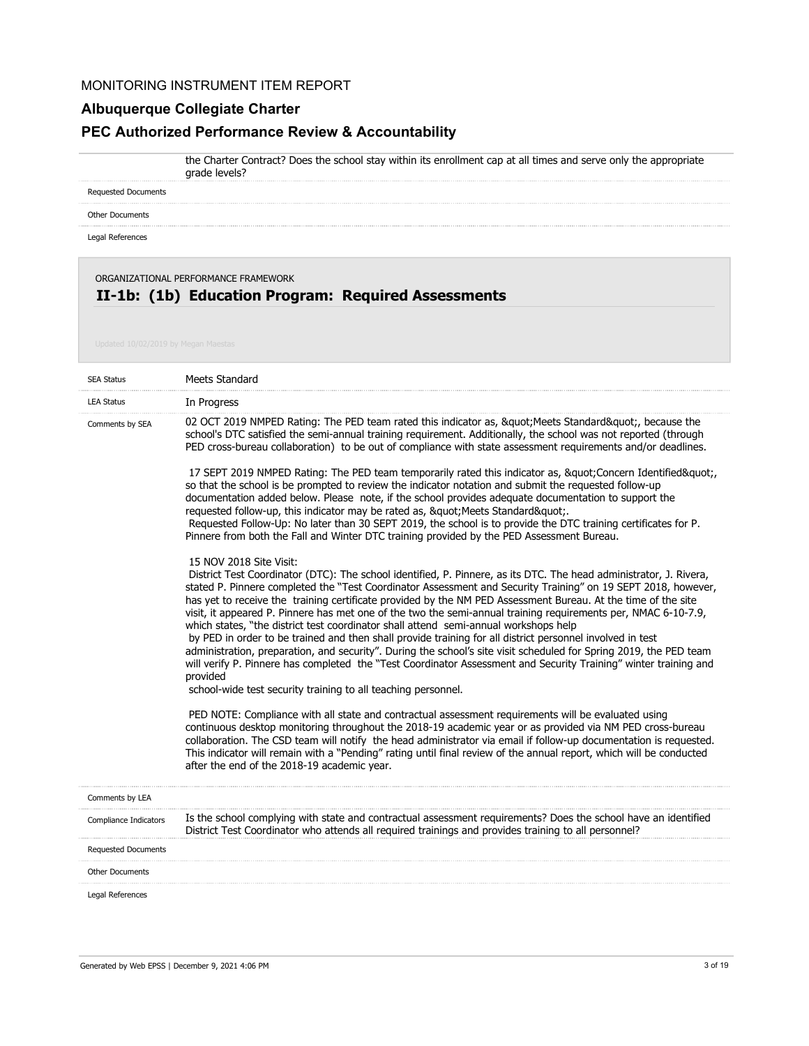grade levels?

## **Albuquerque Collegiate Charter**

# **PEC Authorized Performance Review & Accountability**

the Charter Contract? Does the school stay within its enrollment cap at all times and serve only the appropriate

Requested Documents

Other Documents

Legal References

**II-1b: (1b) Education Program: Required Assessments** ORGANIZATIONAL PERFORMANCE FRAMEWORK

| <b>SEA Status</b>          | Meets Standard                                                                                                                                                                                                                                                                                                                                                                                                                                                                                                                                                                                                                                                                                                                                                                                                                                                                                                                                               |
|----------------------------|--------------------------------------------------------------------------------------------------------------------------------------------------------------------------------------------------------------------------------------------------------------------------------------------------------------------------------------------------------------------------------------------------------------------------------------------------------------------------------------------------------------------------------------------------------------------------------------------------------------------------------------------------------------------------------------------------------------------------------------------------------------------------------------------------------------------------------------------------------------------------------------------------------------------------------------------------------------|
| <b>LEA Status</b>          | In Progress                                                                                                                                                                                                                                                                                                                                                                                                                                                                                                                                                                                                                                                                                                                                                                                                                                                                                                                                                  |
| Comments by SEA            | 02 OCT 2019 NMPED Rating: The PED team rated this indicator as, " Meets Standard", because the<br>school's DTC satisfied the semi-annual training requirement. Additionally, the school was not reported (through<br>PED cross-bureau collaboration) to be out of compliance with state assessment requirements and/or deadlines.                                                                                                                                                                                                                                                                                                                                                                                                                                                                                                                                                                                                                            |
|                            | 17 SEPT 2019 NMPED Rating: The PED team temporarily rated this indicator as, " Concern Identified",<br>so that the school is be prompted to review the indicator notation and submit the requested follow-up<br>documentation added below. Please note, if the school provides adequate documentation to support the<br>requested follow-up, this indicator may be rated as, " Meets Standard".<br>Requested Follow-Up: No later than 30 SEPT 2019, the school is to provide the DTC training certificates for P.<br>Pinnere from both the Fall and Winter DTC training provided by the PED Assessment Bureau.                                                                                                                                                                                                                                                                                                                                               |
|                            | 15 NOV 2018 Site Visit:<br>District Test Coordinator (DTC): The school identified, P. Pinnere, as its DTC. The head administrator, J. Rivera,<br>stated P. Pinnere completed the "Test Coordinator Assessment and Security Training" on 19 SEPT 2018, however,<br>has yet to receive the training certificate provided by the NM PED Assessment Bureau. At the time of the site<br>visit, it appeared P. Pinnere has met one of the two the semi-annual training requirements per, NMAC 6-10-7.9,<br>which states, "the district test coordinator shall attend semi-annual workshops help<br>by PED in order to be trained and then shall provide training for all district personnel involved in test<br>administration, preparation, and security". During the school's site visit scheduled for Spring 2019, the PED team<br>will verify P. Pinnere has completed the "Test Coordinator Assessment and Security Training" winter training and<br>provided |
|                            | school-wide test security training to all teaching personnel.                                                                                                                                                                                                                                                                                                                                                                                                                                                                                                                                                                                                                                                                                                                                                                                                                                                                                                |
|                            | PED NOTE: Compliance with all state and contractual assessment requirements will be evaluated using<br>continuous desktop monitoring throughout the 2018-19 academic year or as provided via NM PED cross-bureau<br>collaboration. The CSD team will notify the head administrator via email if follow-up documentation is requested.<br>This indicator will remain with a "Pending" rating until final review of the annual report, which will be conducted<br>after the end of the 2018-19 academic year.                                                                                                                                                                                                                                                                                                                                                                                                                                                  |
| Comments by LEA            |                                                                                                                                                                                                                                                                                                                                                                                                                                                                                                                                                                                                                                                                                                                                                                                                                                                                                                                                                              |
| Compliance Indicators      | Is the school complying with state and contractual assessment requirements? Does the school have an identified<br>District Test Coordinator who attends all required trainings and provides training to all personnel?                                                                                                                                                                                                                                                                                                                                                                                                                                                                                                                                                                                                                                                                                                                                       |
| <b>Requested Documents</b> |                                                                                                                                                                                                                                                                                                                                                                                                                                                                                                                                                                                                                                                                                                                                                                                                                                                                                                                                                              |
| <b>Other Documents</b>     |                                                                                                                                                                                                                                                                                                                                                                                                                                                                                                                                                                                                                                                                                                                                                                                                                                                                                                                                                              |
| Legal References           |                                                                                                                                                                                                                                                                                                                                                                                                                                                                                                                                                                                                                                                                                                                                                                                                                                                                                                                                                              |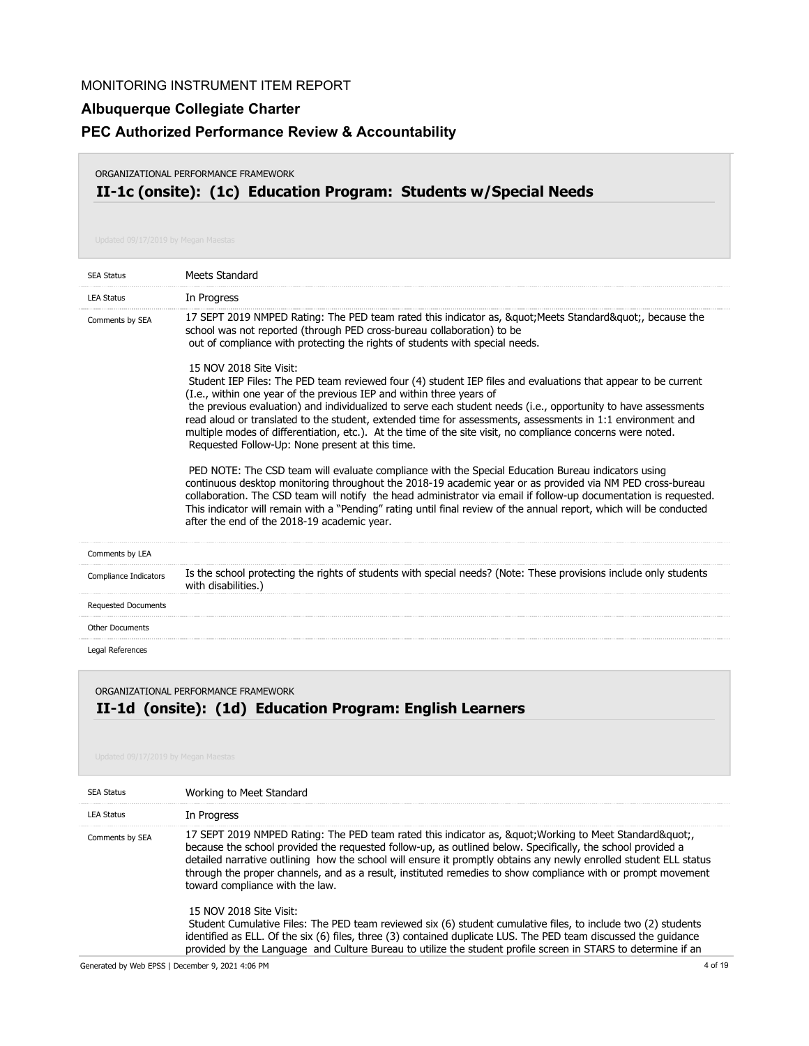# **Albuquerque Collegiate Charter**

## **PEC Authorized Performance Review & Accountability**

#### ORGANIZATIONAL PERFORMANCE FRAMEWORK

# **II-1c (onsite): (1c) Education Program: Students w/Special Needs**

| <b>SEA Status</b>          | Meets Standard                                                                                                                                                                                                                                                                                                                                                                                                                                                                                                                                                                                                     |
|----------------------------|--------------------------------------------------------------------------------------------------------------------------------------------------------------------------------------------------------------------------------------------------------------------------------------------------------------------------------------------------------------------------------------------------------------------------------------------------------------------------------------------------------------------------------------------------------------------------------------------------------------------|
| <b>LEA Status</b>          | In Progress                                                                                                                                                                                                                                                                                                                                                                                                                                                                                                                                                                                                        |
| Comments by SEA            | 17 SEPT 2019 NMPED Rating: The PED team rated this indicator as, " Meets Standard", because the<br>school was not reported (through PED cross-bureau collaboration) to be<br>out of compliance with protecting the rights of students with special needs.                                                                                                                                                                                                                                                                                                                                                          |
|                            | 15 NOV 2018 Site Visit:<br>Student IEP Files: The PED team reviewed four (4) student IEP files and evaluations that appear to be current<br>(I.e., within one year of the previous IEP and within three years of<br>the previous evaluation) and individualized to serve each student needs (i.e., opportunity to have assessments<br>read aloud or translated to the student, extended time for assessments, assessments in 1:1 environment and<br>multiple modes of differentiation, etc.). At the time of the site visit, no compliance concerns were noted.<br>Requested Follow-Up: None present at this time. |
|                            | PED NOTE: The CSD team will evaluate compliance with the Special Education Bureau indicators using<br>continuous desktop monitoring throughout the 2018-19 academic year or as provided via NM PED cross-bureau<br>collaboration. The CSD team will notify the head administrator via email if follow-up documentation is requested.<br>This indicator will remain with a "Pending" rating until final review of the annual report, which will be conducted<br>after the end of the 2018-19 academic year.                                                                                                         |
| Comments by LEA            |                                                                                                                                                                                                                                                                                                                                                                                                                                                                                                                                                                                                                    |
| Compliance Indicators      | Is the school protecting the rights of students with special needs? (Note: These provisions include only students<br>with disabilities.)                                                                                                                                                                                                                                                                                                                                                                                                                                                                           |
| <b>Requested Documents</b> |                                                                                                                                                                                                                                                                                                                                                                                                                                                                                                                                                                                                                    |
| <b>Other Documents</b>     |                                                                                                                                                                                                                                                                                                                                                                                                                                                                                                                                                                                                                    |
| Legal References           |                                                                                                                                                                                                                                                                                                                                                                                                                                                                                                                                                                                                                    |

## **II-1d (onsite): (1d) Education Program: English Learners** ORGANIZATIONAL PERFORMANCE FRAMEWORK

| <b>SEA Status</b> | Working to Meet Standard                                                                                                                                                                                                                                                                                                                                                                                                                                                            |
|-------------------|-------------------------------------------------------------------------------------------------------------------------------------------------------------------------------------------------------------------------------------------------------------------------------------------------------------------------------------------------------------------------------------------------------------------------------------------------------------------------------------|
| <b>LEA Status</b> | In Progress                                                                                                                                                                                                                                                                                                                                                                                                                                                                         |
| Comments by SEA   | 17 SEPT 2019 NMPED Rating: The PED team rated this indicator as, " Working to Meet Standard"<br>because the school provided the requested follow-up, as outlined below. Specifically, the school provided a<br>detailed narrative outlining how the school will ensure it promptly obtains any newly enrolled student ELL status<br>through the proper channels, and as a result, instituted remedies to show compliance with or prompt movement<br>toward compliance with the law. |
|                   | 15 NOV 2018 Site Visit:<br>Student Cumulative Files: The PED team reviewed six (6) student cumulative files, to include two (2) students<br>identified as ELL. Of the six (6) files, three (3) contained duplicate LUS. The PED team discussed the quidance<br>provided by the Language and Culture Bureau to utilize the student profile screen in STARS to determine if an                                                                                                        |

Generated by Web EPSS | December 9, 2021 4:06 PM 4 of 19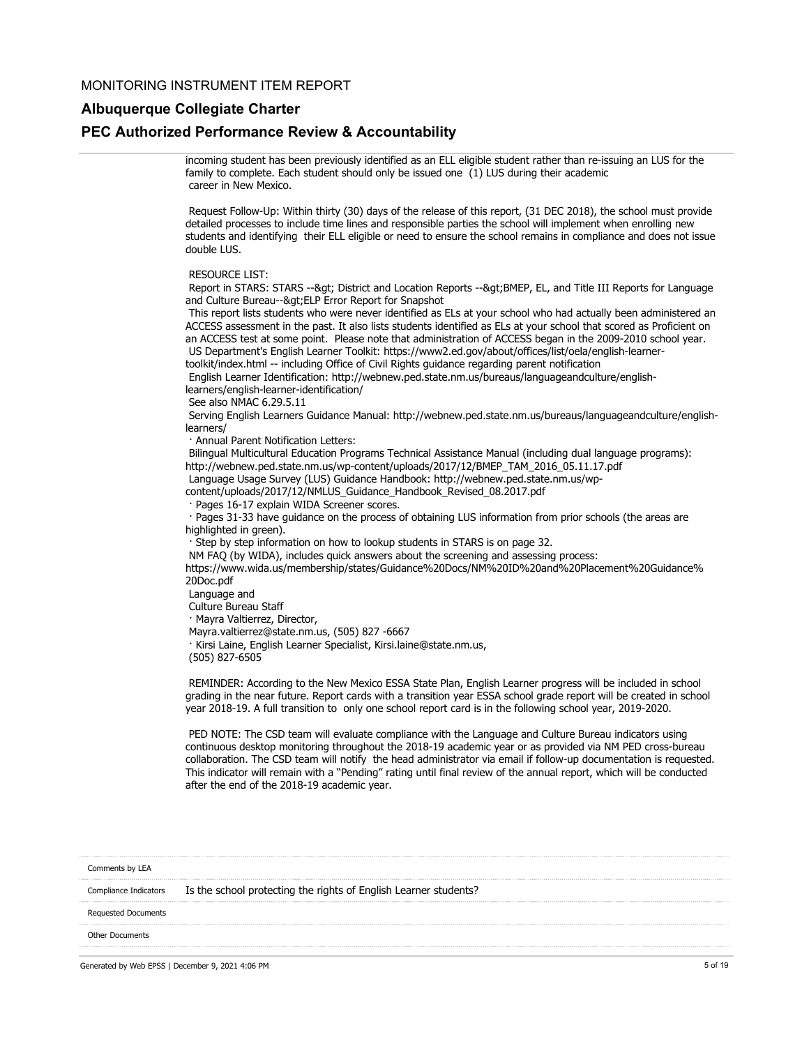#### **Albuquerque Collegiate Charter**

#### **PEC Authorized Performance Review & Accountability**

incoming student has been previously identified as an ELL eligible student rather than re-issuing an LUS for the family to complete. Each student should only be issued one (1) LUS during their academic career in New Mexico.

 Request Follow-Up: Within thirty (30) days of the release of this report, (31 DEC 2018), the school must provide detailed processes to include time lines and responsible parties the school will implement when enrolling new students and identifying their ELL eligible or need to ensure the school remains in compliance and does not issue double LUS.

#### RESOURCE LIST:

Report in STARS: STARS -- & qt; District and Location Reports -- & qt; BMEP, EL, and Title III Reports for Language and Culture Bureau--> ELP Error Report for Snapshot

 This report lists students who were never identified as ELs at your school who had actually been administered an ACCESS assessment in the past. It also lists students identified as ELs at your school that scored as Proficient on an ACCESS test at some point. Please note that administration of ACCESS began in the 2009-2010 school year. US Department's English Learner Toolkit: https://www2.ed.gov/about/offices/list/oela/english-learnertoolkit/index.html -- including Office of Civil Rights guidance regarding parent notification

 English Learner Identification: http://webnew.ped.state.nm.us/bureaus/languageandculture/englishlearners/english-learner-identification/

See also NMAC 6.29.5.11

 Serving English Learners Guidance Manual: http://webnew.ped.state.nm.us/bureaus/languageandculture/englishlearners/

· Annual Parent Notification Letters:

 Bilingual Multicultural Education Programs Technical Assistance Manual (including dual language programs): http://webnew.ped.state.nm.us/wp-content/uploads/2017/12/BMEP\_TAM\_2016\_05.11.17.pdf Language Usage Survey (LUS) Guidance Handbook: http://webnew.ped.state.nm.us/wp-

content/uploads/2017/12/NMLUS\_Guidance\_Handbook\_Revised\_08.2017.pdf

· Pages 16-17 explain WIDA Screener scores.

 · Pages 31-33 have guidance on the process of obtaining LUS information from prior schools (the areas are highlighted in green).

· Step by step information on how to lookup students in STARS is on page 32.

NM FAQ (by WIDA), includes quick answers about the screening and assessing process:

https://www.wida.us/membership/states/Guidance%20Docs/NM%20ID%20and%20Placement%20Guidance% 20Doc.pdf

Language and

Culture Bureau Staff

· Mayra Valtierrez, Director,

Mayra.valtierrez@state.nm.us, (505) 827 -6667

· Kirsi Laine, English Learner Specialist, Kirsi.laine@state.nm.us,

(505) 827-6505

 REMINDER: According to the New Mexico ESSA State Plan, English Learner progress will be included in school grading in the near future. Report cards with a transition year ESSA school grade report will be created in school year 2018-19. A full transition to only one school report card is in the following school year, 2019-2020.

 PED NOTE: The CSD team will evaluate compliance with the Language and Culture Bureau indicators using continuous desktop monitoring throughout the 2018-19 academic year or as provided via NM PED cross-bureau collaboration. The CSD team will notify the head administrator via email if follow-up documentation is requested. This indicator will remain with a "Pending" rating until final review of the annual report, which will be conducted after the end of the 2018-19 academic year.

| Comments by LEA       |                                                                  |
|-----------------------|------------------------------------------------------------------|
| Compliance Indicators | Is the school protecting the rights of English Learner students? |
| Requested Documents   |                                                                  |
| Other Documents       |                                                                  |

Generated by Web EPSS | December 9, 2021 4:06 PM 5 of 19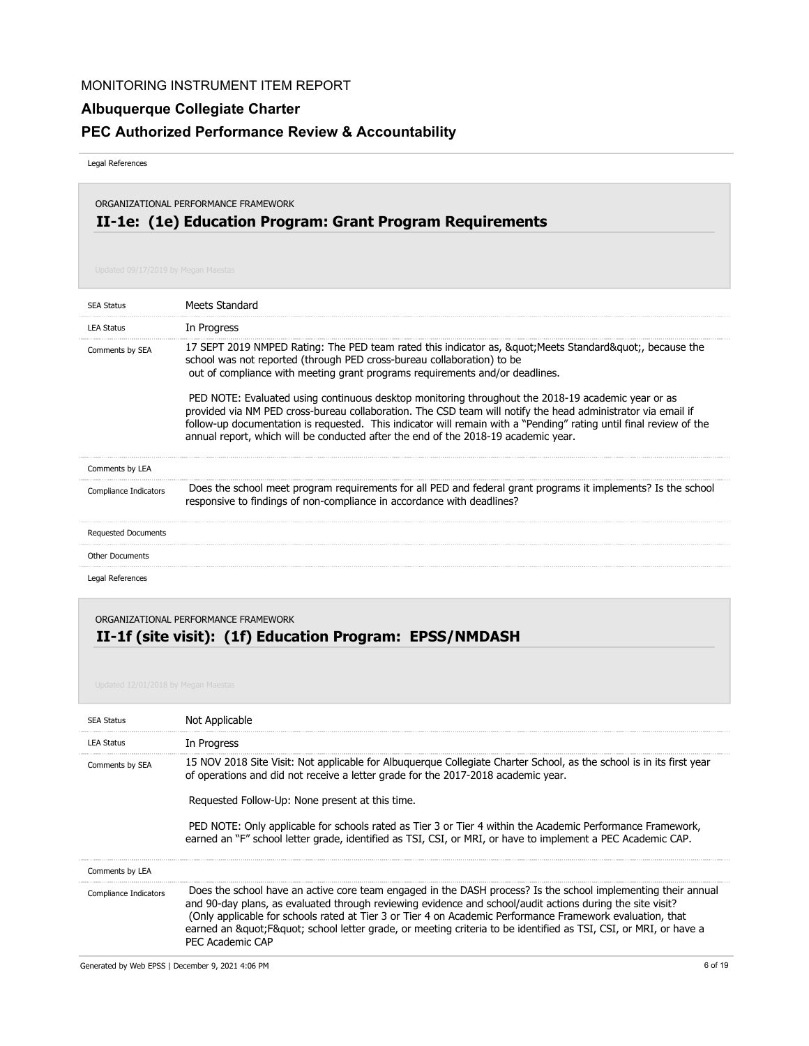# **Albuquerque Collegiate Charter**

# **PEC Authorized Performance Review & Accountability**

Legal References

# **II-1e: (1e) Education Program: Grant Program Requirements** ORGANIZATIONAL PERFORMANCE FRAMEWORK

| <b>SEA Status</b>          | Meets Standard                                                                                                                                                                                                                                                                                                                                                                                                                                                                                                                                                                                                                                                                              |
|----------------------------|---------------------------------------------------------------------------------------------------------------------------------------------------------------------------------------------------------------------------------------------------------------------------------------------------------------------------------------------------------------------------------------------------------------------------------------------------------------------------------------------------------------------------------------------------------------------------------------------------------------------------------------------------------------------------------------------|
| <b>LEA Status</b>          | In Progress                                                                                                                                                                                                                                                                                                                                                                                                                                                                                                                                                                                                                                                                                 |
| Comments by SEA            | 17 SEPT 2019 NMPED Rating: The PED team rated this indicator as, " Meets Standard", because the<br>school was not reported (through PED cross-bureau collaboration) to be<br>out of compliance with meeting grant programs requirements and/or deadlines.<br>PED NOTE: Evaluated using continuous desktop monitoring throughout the 2018-19 academic year or as<br>provided via NM PED cross-bureau collaboration. The CSD team will notify the head administrator via email if<br>follow-up documentation is requested. This indicator will remain with a "Pending" rating until final review of the<br>annual report, which will be conducted after the end of the 2018-19 academic year. |
| Comments by LEA            |                                                                                                                                                                                                                                                                                                                                                                                                                                                                                                                                                                                                                                                                                             |
| Compliance Indicators      | Does the school meet program requirements for all PED and federal grant programs it implements? Is the school<br>responsive to findings of non-compliance in accordance with deadlines?                                                                                                                                                                                                                                                                                                                                                                                                                                                                                                     |
| <b>Requested Documents</b> |                                                                                                                                                                                                                                                                                                                                                                                                                                                                                                                                                                                                                                                                                             |
| <b>Other Documents</b>     |                                                                                                                                                                                                                                                                                                                                                                                                                                                                                                                                                                                                                                                                                             |
| Legal References           |                                                                                                                                                                                                                                                                                                                                                                                                                                                                                                                                                                                                                                                                                             |

## **II-1f (site visit): (1f) Education Program: EPSS/NMDASH** ORGANIZATIONAL PERFORMANCE FRAMEWORK

| <b>SEA Status</b>     | Not Applicable                                                                                                                                                                                                                                                                                                                                                                                                                                                                            |
|-----------------------|-------------------------------------------------------------------------------------------------------------------------------------------------------------------------------------------------------------------------------------------------------------------------------------------------------------------------------------------------------------------------------------------------------------------------------------------------------------------------------------------|
| <b>LEA Status</b>     | In Progress                                                                                                                                                                                                                                                                                                                                                                                                                                                                               |
| Comments by SEA       | 15 NOV 2018 Site Visit: Not applicable for Albuguergue Collegiate Charter School, as the school is in its first year<br>of operations and did not receive a letter grade for the 2017-2018 academic year.<br>Requested Follow-Up: None present at this time.<br>PED NOTE: Only applicable for schools rated as Tier 3 or Tier 4 within the Academic Performance Framework,<br>earned an "F" school letter grade, identified as TSI, CSI, or MRI, or have to implement a PEC Academic CAP. |
| Comments by LEA       |                                                                                                                                                                                                                                                                                                                                                                                                                                                                                           |
| Compliance Indicators | Does the school have an active core team engaged in the DASH process? Is the school implementing their annual<br>and 90-day plans, as evaluated through reviewing evidence and school/audit actions during the site visit?<br>(Only applicable for schools rated at Tier 3 or Tier 4 on Academic Performance Framework evaluation, that<br>earned an "F" school letter grade, or meeting criteria to be identified as TSI, CSI, or MRI, or have a<br>PFC Academic CAP                     |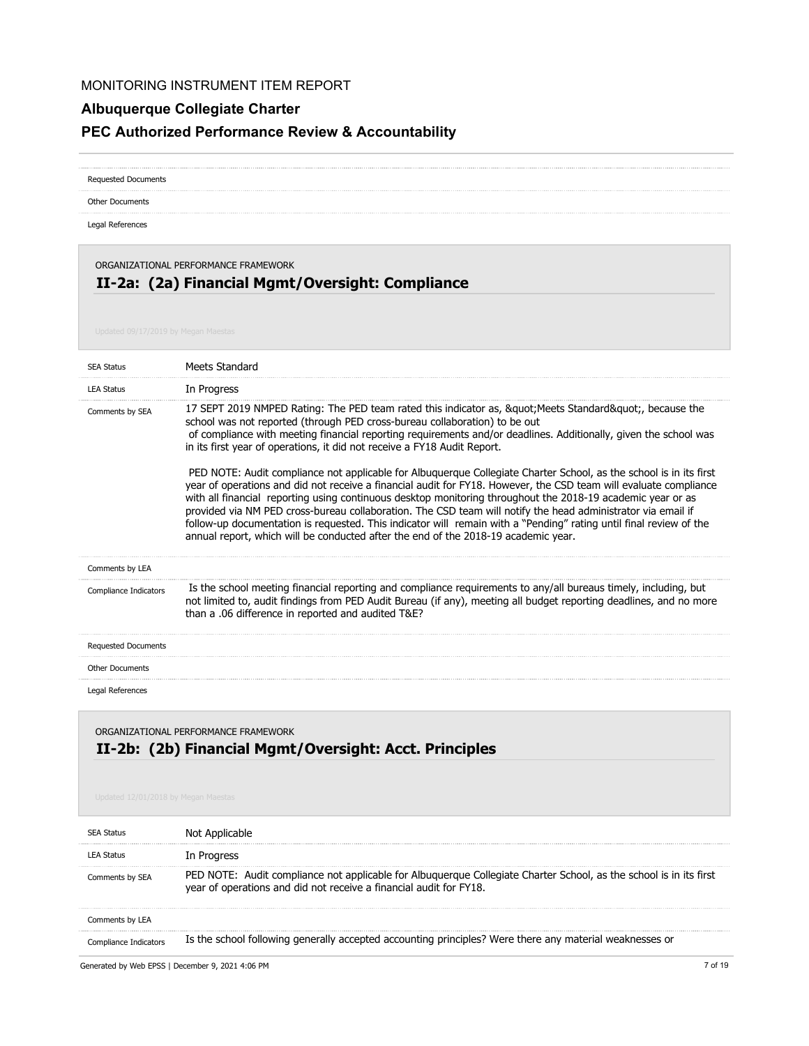# **Albuquerque Collegiate Charter**

# **PEC Authorized Performance Review & Accountability**

| <b>Requested Documents</b>                                                                                                      |                                                                                                                                                                                                                                                                                                                                                                                                                                                                                                                                                                                                                                                                                                                                                                                                                                                                                                                                                                                                                                                                     |
|---------------------------------------------------------------------------------------------------------------------------------|---------------------------------------------------------------------------------------------------------------------------------------------------------------------------------------------------------------------------------------------------------------------------------------------------------------------------------------------------------------------------------------------------------------------------------------------------------------------------------------------------------------------------------------------------------------------------------------------------------------------------------------------------------------------------------------------------------------------------------------------------------------------------------------------------------------------------------------------------------------------------------------------------------------------------------------------------------------------------------------------------------------------------------------------------------------------|
| <b>Other Documents</b>                                                                                                          |                                                                                                                                                                                                                                                                                                                                                                                                                                                                                                                                                                                                                                                                                                                                                                                                                                                                                                                                                                                                                                                                     |
| Legal References                                                                                                                |                                                                                                                                                                                                                                                                                                                                                                                                                                                                                                                                                                                                                                                                                                                                                                                                                                                                                                                                                                                                                                                                     |
| ORGANIZATIONAL PERFORMANCE FRAMEWORK<br>II-2a: (2a) Financial Mgmt/Oversight: Compliance<br>Updated 09/17/2019 by Megan Maestas |                                                                                                                                                                                                                                                                                                                                                                                                                                                                                                                                                                                                                                                                                                                                                                                                                                                                                                                                                                                                                                                                     |
| <b>SEA Status</b>                                                                                                               | Meets Standard                                                                                                                                                                                                                                                                                                                                                                                                                                                                                                                                                                                                                                                                                                                                                                                                                                                                                                                                                                                                                                                      |
| <b>LEA Status</b>                                                                                                               | In Progress                                                                                                                                                                                                                                                                                                                                                                                                                                                                                                                                                                                                                                                                                                                                                                                                                                                                                                                                                                                                                                                         |
| Comments by SEA                                                                                                                 | 17 SEPT 2019 NMPED Rating: The PED team rated this indicator as, " Meets Standard", because the<br>school was not reported (through PED cross-bureau collaboration) to be out<br>of compliance with meeting financial reporting requirements and/or deadlines. Additionally, given the school was<br>in its first year of operations, it did not receive a FY18 Audit Report.<br>PED NOTE: Audit compliance not applicable for Albuquerque Collegiate Charter School, as the school is in its first<br>year of operations and did not receive a financial audit for FY18. However, the CSD team will evaluate compliance<br>with all financial reporting using continuous desktop monitoring throughout the 2018-19 academic year or as<br>provided via NM PED cross-bureau collaboration. The CSD team will notify the head administrator via email if<br>follow-up documentation is requested. This indicator will remain with a "Pending" rating until final review of the<br>annual report, which will be conducted after the end of the 2018-19 academic year. |
| Comments by LEA                                                                                                                 |                                                                                                                                                                                                                                                                                                                                                                                                                                                                                                                                                                                                                                                                                                                                                                                                                                                                                                                                                                                                                                                                     |
| Compliance Indicators                                                                                                           | Is the school meeting financial reporting and compliance requirements to any/all bureaus timely, including, but<br>not limited to, audit findings from PED Audit Bureau (if any), meeting all budget reporting deadlines, and no more<br>than a .06 difference in reported and audited T&E?                                                                                                                                                                                                                                                                                                                                                                                                                                                                                                                                                                                                                                                                                                                                                                         |
| <b>Requested Documents</b>                                                                                                      |                                                                                                                                                                                                                                                                                                                                                                                                                                                                                                                                                                                                                                                                                                                                                                                                                                                                                                                                                                                                                                                                     |
| <b>Other Documents</b>                                                                                                          |                                                                                                                                                                                                                                                                                                                                                                                                                                                                                                                                                                                                                                                                                                                                                                                                                                                                                                                                                                                                                                                                     |
| Legal References                                                                                                                |                                                                                                                                                                                                                                                                                                                                                                                                                                                                                                                                                                                                                                                                                                                                                                                                                                                                                                                                                                                                                                                                     |

# **II-2b: (2b) Financial Mgmt/Oversight: Acct. Principles** ORGANIZATIONAL PERFORMANCE FRAMEWORK

| <b>SEA Status</b> |                                                                                                                                                                                          |
|-------------------|------------------------------------------------------------------------------------------------------------------------------------------------------------------------------------------|
| <b>LEA Status</b> | In Progress                                                                                                                                                                              |
| Comments by SEA   | PED NOTE: Audit compliance not applicable for Albuquerque Collegiate Charter School, as the school is in its first<br>year of operations and did not receive a financial audit for FY18. |
| Comments by LEA   |                                                                                                                                                                                          |
| Compliance In     | Is the school following generally accepted accounting principles? Were there any material weaknesses or                                                                                  |

Generated by Web EPSS | December 9, 2021 4:06 PM 7 of 19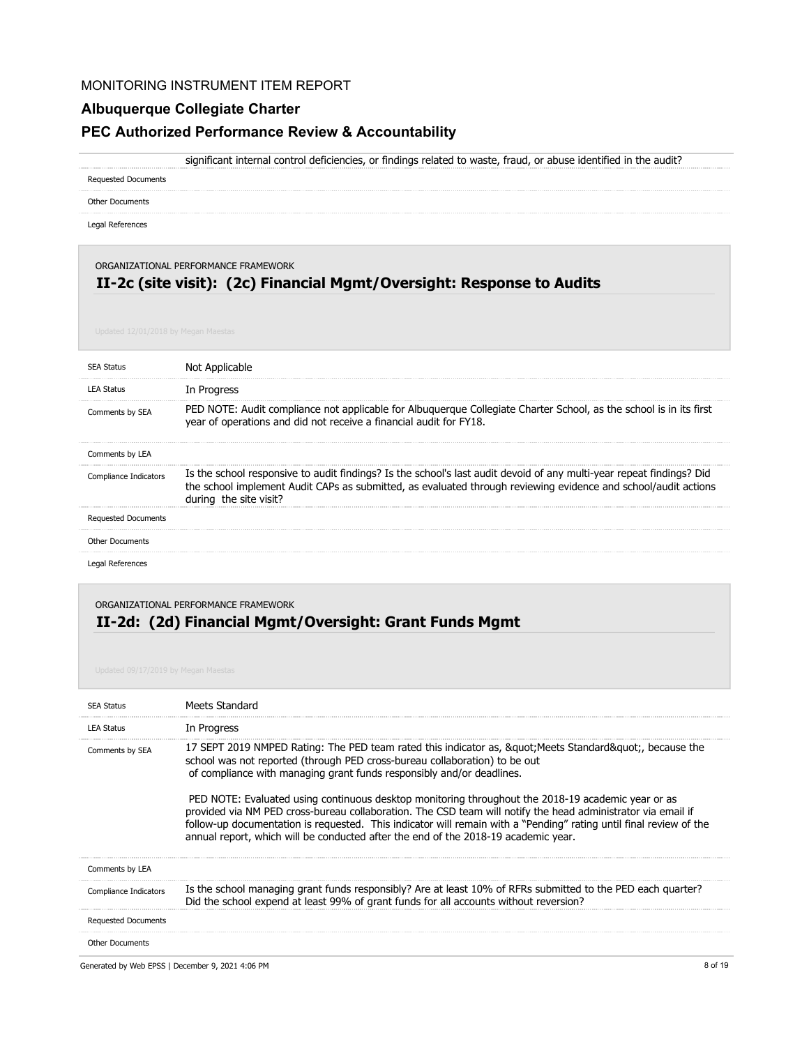### **Albuquerque Collegiate Charter**

#### **PEC Authorized Performance Review & Accountability**

significant internal control deficiencies, or findings related to waste, fraud, or abuse identified in the audit?

Requested Documents

Other Documents

Legal References

#### ORGANIZATIONAL PERFORMANCE FRAMEWORK

# **II-2c (site visit): (2c) Financial Mgmt/Oversight: Response to Audits**

| <b>SEA Status</b>          |                                                                                                                                                                                                                                                                  |
|----------------------------|------------------------------------------------------------------------------------------------------------------------------------------------------------------------------------------------------------------------------------------------------------------|
| <b>LEA Status</b>          | In Progress                                                                                                                                                                                                                                                      |
| Comments by SEA            | PED NOTE: Audit compliance not applicable for Albuguergue Collegiate Charter School, as the school is in its first<br>year of operations and did not receive a financial audit for FY18.                                                                         |
| Comments by LEA            |                                                                                                                                                                                                                                                                  |
| Compliance Indicators      | Is the school responsive to audit findings? Is the school's last audit devoid of any multi-year repeat findings? Did<br>the school implement Audit CAPs as submitted, as evaluated through reviewing evidence and school/audit actions<br>during the site visit? |
| <b>Requested Documents</b> |                                                                                                                                                                                                                                                                  |
| <b>Other Documents</b>     |                                                                                                                                                                                                                                                                  |
| Legal References           |                                                                                                                                                                                                                                                                  |

### **II-2d: (2d) Financial Mgmt/Oversight: Grant Funds Mgmt** ORGANIZATIONAL PERFORMANCE FRAMEWORK

| <b>Other Documents</b>     |                                                                                                                                                                                                                                                                                                                                                                                                                                |
|----------------------------|--------------------------------------------------------------------------------------------------------------------------------------------------------------------------------------------------------------------------------------------------------------------------------------------------------------------------------------------------------------------------------------------------------------------------------|
| <b>Requested Documents</b> |                                                                                                                                                                                                                                                                                                                                                                                                                                |
| Compliance Indicators      | Is the school managing grant funds responsibly? Are at least 10% of RFRs submitted to the PED each quarter?<br>Did the school expend at least 99% of grant funds for all accounts without reversion?                                                                                                                                                                                                                           |
| Comments by LEA            |                                                                                                                                                                                                                                                                                                                                                                                                                                |
|                            | PED NOTE: Evaluated using continuous desktop monitoring throughout the 2018-19 academic year or as<br>provided via NM PED cross-bureau collaboration. The CSD team will notify the head administrator via email if<br>follow-up documentation is requested. This indicator will remain with a "Pending" rating until final review of the<br>annual report, which will be conducted after the end of the 2018-19 academic year. |
| Comments by SEA            | 17 SEPT 2019 NMPED Rating: The PED team rated this indicator as, & quot; Meets Standard & quot;, because the<br>school was not reported (through PED cross-bureau collaboration) to be out<br>of compliance with managing grant funds responsibly and/or deadlines.                                                                                                                                                            |
| <b>LEA Status</b>          | In Progress                                                                                                                                                                                                                                                                                                                                                                                                                    |
| <b>SEA Status</b>          | Meets Standard                                                                                                                                                                                                                                                                                                                                                                                                                 |
|                            |                                                                                                                                                                                                                                                                                                                                                                                                                                |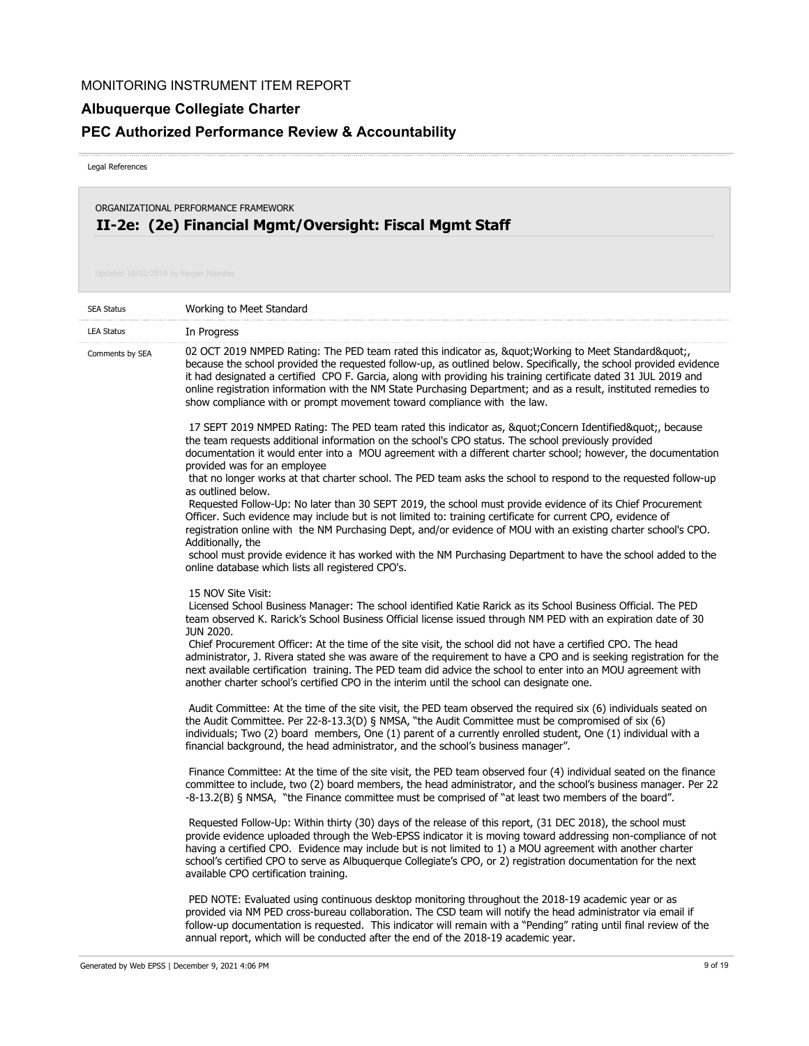## **Albuquerque Collegiate Charter**

# **PEC Authorized Performance Review & Accountability**

Legal References

ORGANIZATIONAL PERFORMANCE FRAMEWORK

# **II-2e: (2e) Financial Mgmt/Oversight: Fiscal Mgmt Staff**

| <b>SEA Status</b> | Working to Meet Standard                                                                                                                                                                                                                                                                                                                                                                                                                                                                                                              |
|-------------------|---------------------------------------------------------------------------------------------------------------------------------------------------------------------------------------------------------------------------------------------------------------------------------------------------------------------------------------------------------------------------------------------------------------------------------------------------------------------------------------------------------------------------------------|
| <b>LEA Status</b> | In Progress                                                                                                                                                                                                                                                                                                                                                                                                                                                                                                                           |
| Comments by SEA   | 02 OCT 2019 NMPED Rating: The PED team rated this indicator as, " Working to Meet Standard",<br>because the school provided the requested follow-up, as outlined below. Specifically, the school provided evidence<br>it had designated a certified CPO F. Garcia, along with providing his training certificate dated 31 JUL 2019 and<br>online registration information with the NM State Purchasing Department; and as a result, instituted remedies to<br>show compliance with or prompt movement toward compliance with the law. |
|                   | 17 SEPT 2019 NMPED Rating: The PED team rated this indicator as, " Concern Identified", because<br>the team requests additional information on the school's CPO status. The school previously provided<br>documentation it would enter into a MOU agreement with a different charter school; however, the documentation<br>provided was for an employee                                                                                                                                                                               |
|                   | that no longer works at that charter school. The PED team asks the school to respond to the requested follow-up<br>as outlined below.                                                                                                                                                                                                                                                                                                                                                                                                 |
|                   | Requested Follow-Up: No later than 30 SEPT 2019, the school must provide evidence of its Chief Procurement<br>Officer. Such evidence may include but is not limited to: training certificate for current CPO, evidence of<br>registration online with the NM Purchasing Dept, and/or evidence of MOU with an existing charter school's CPO.<br>Additionally, the                                                                                                                                                                      |
|                   | school must provide evidence it has worked with the NM Purchasing Department to have the school added to the<br>online database which lists all registered CPO's.                                                                                                                                                                                                                                                                                                                                                                     |
|                   | 15 NOV Site Visit:<br>Licensed School Business Manager: The school identified Katie Rarick as its School Business Official. The PED<br>team observed K. Rarick's School Business Official license issued through NM PED with an expiration date of 30<br><b>JUN 2020.</b>                                                                                                                                                                                                                                                             |
|                   | Chief Procurement Officer: At the time of the site visit, the school did not have a certified CPO. The head<br>administrator, J. Rivera stated she was aware of the requirement to have a CPO and is seeking registration for the<br>next available certification training. The PED team did advice the school to enter into an MOU agreement with<br>another charter school's certified CPO in the interim until the school can designate one.                                                                                       |
|                   | Audit Committee: At the time of the site visit, the PED team observed the required six (6) individuals seated on<br>the Audit Committee. Per 22-8-13.3(D) § NMSA, "the Audit Committee must be compromised of six (6)<br>individuals; Two (2) board members, One (1) parent of a currently enrolled student, One (1) individual with a<br>financial background, the head administrator, and the school's business manager".                                                                                                           |
|                   | Finance Committee: At the time of the site visit, the PED team observed four (4) individual seated on the finance<br>committee to include, two (2) board members, the head administrator, and the school's business manager. Per 22<br>-8-13.2(B) § NMSA, "the Finance committee must be comprised of "at least two members of the board".                                                                                                                                                                                            |
|                   | Requested Follow-Up: Within thirty (30) days of the release of this report, (31 DEC 2018), the school must<br>provide evidence uploaded through the Web-EPSS indicator it is moving toward addressing non-compliance of not<br>having a certified CPO. Evidence may include but is not limited to 1) a MOU agreement with another charter<br>school's certified CPO to serve as Albuquerque Collegiate's CPO, or 2) registration documentation for the next<br>available CPO certification training.                                  |
|                   | PED NOTE: Evaluated using continuous desktop monitoring throughout the 2018-19 academic year or as<br>provided via NM PED cross-bureau collaboration. The CSD team will notify the head administrator via email if<br>follow-up documentation is requested. This indicator will remain with a "Pending" rating until final review of the                                                                                                                                                                                              |

annual report, which will be conducted after the end of the 2018-19 academic year.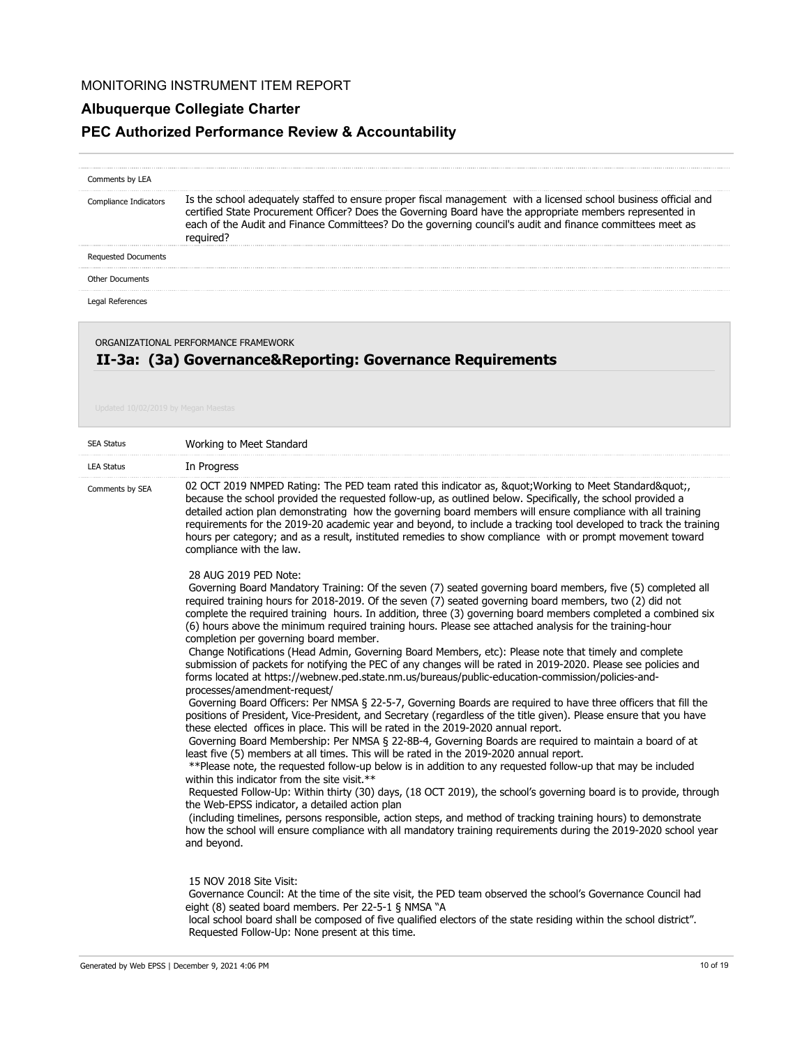# **Albuquerque Collegiate Charter**

# **PEC Authorized Performance Review & Accountability**

| Comments by LEA            |                                                                                                                                                                                                                                                                                                                                                         |
|----------------------------|---------------------------------------------------------------------------------------------------------------------------------------------------------------------------------------------------------------------------------------------------------------------------------------------------------------------------------------------------------|
| Compliance Indicators      | Is the school adequately staffed to ensure proper fiscal management with a licensed school business official and<br>certified State Procurement Officer? Does the Governing Board have the appropriate members represented in<br>each of the Audit and Finance Committees? Do the governing council's audit and finance committees meet as<br>required? |
| <b>Requested Documents</b> |                                                                                                                                                                                                                                                                                                                                                         |
| Other Documents            |                                                                                                                                                                                                                                                                                                                                                         |
|                            |                                                                                                                                                                                                                                                                                                                                                         |

Legal References

ORGANIZATIONAL PERFORMANCE FRAMEWORK

# **II-3a: (3a) Governance&Reporting: Governance Requirements**

| <b>SEA Status</b> | Working to Meet Standard                                                                                                                                                                                                                                                                                                                                                                                                                                                                                                                                                                                                       |
|-------------------|--------------------------------------------------------------------------------------------------------------------------------------------------------------------------------------------------------------------------------------------------------------------------------------------------------------------------------------------------------------------------------------------------------------------------------------------------------------------------------------------------------------------------------------------------------------------------------------------------------------------------------|
| <b>LEA Status</b> | In Progress                                                                                                                                                                                                                                                                                                                                                                                                                                                                                                                                                                                                                    |
| Comments by SEA   | 02 OCT 2019 NMPED Rating: The PED team rated this indicator as, " Working to Meet Standard",<br>because the school provided the requested follow-up, as outlined below. Specifically, the school provided a<br>detailed action plan demonstrating how the governing board members will ensure compliance with all training<br>requirements for the 2019-20 academic year and beyond, to include a tracking tool developed to track the training<br>hours per category; and as a result, instituted remedies to show compliance with or prompt movement toward<br>compliance with the law.                                      |
|                   | 28 AUG 2019 PED Note:<br>Governing Board Mandatory Training: Of the seven (7) seated governing board members, five (5) completed all<br>required training hours for 2018-2019. Of the seven (7) seated governing board members, two (2) did not<br>complete the required training hours. In addition, three (3) governing board members completed a combined six<br>(6) hours above the minimum required training hours. Please see attached analysis for the training-hour<br>completion per governing board member.<br>Change Notifications (Head Admin, Governing Board Members, etc): Please note that timely and complete |
|                   | submission of packets for notifying the PEC of any changes will be rated in 2019-2020. Please see policies and<br>forms located at https://webnew.ped.state.nm.us/bureaus/public-education-commission/policies-and-<br>processes/amendment-request/                                                                                                                                                                                                                                                                                                                                                                            |
|                   | Governing Board Officers: Per NMSA § 22-5-7, Governing Boards are required to have three officers that fill the<br>positions of President, Vice-President, and Secretary (regardless of the title given). Please ensure that you have<br>these elected offices in place. This will be rated in the 2019-2020 annual report.                                                                                                                                                                                                                                                                                                    |
|                   | Governing Board Membership: Per NMSA § 22-8B-4, Governing Boards are required to maintain a board of at<br>least five (5) members at all times. This will be rated in the 2019-2020 annual report.                                                                                                                                                                                                                                                                                                                                                                                                                             |
|                   | **Please note, the requested follow-up below is in addition to any requested follow-up that may be included<br>within this indicator from the site visit.**                                                                                                                                                                                                                                                                                                                                                                                                                                                                    |
|                   | Requested Follow-Up: Within thirty (30) days, (18 OCT 2019), the school's governing board is to provide, through<br>the Web-EPSS indicator, a detailed action plan                                                                                                                                                                                                                                                                                                                                                                                                                                                             |
|                   | (including timelines, persons responsible, action steps, and method of tracking training hours) to demonstrate<br>how the school will ensure compliance with all mandatory training requirements during the 2019-2020 school year<br>and beyond.                                                                                                                                                                                                                                                                                                                                                                               |
|                   | 15 NOV 2018 Site Visit:<br>Governance Council: At the time of the site visit, the PED team observed the school's Governance Council had                                                                                                                                                                                                                                                                                                                                                                                                                                                                                        |
|                   | eight (8) seated board members. Per 22-5-1 § NMSA "A<br>local school board shall be composed of five qualified electors of the state residing within the school district".<br>Requested Follow-Up: None present at this time.                                                                                                                                                                                                                                                                                                                                                                                                  |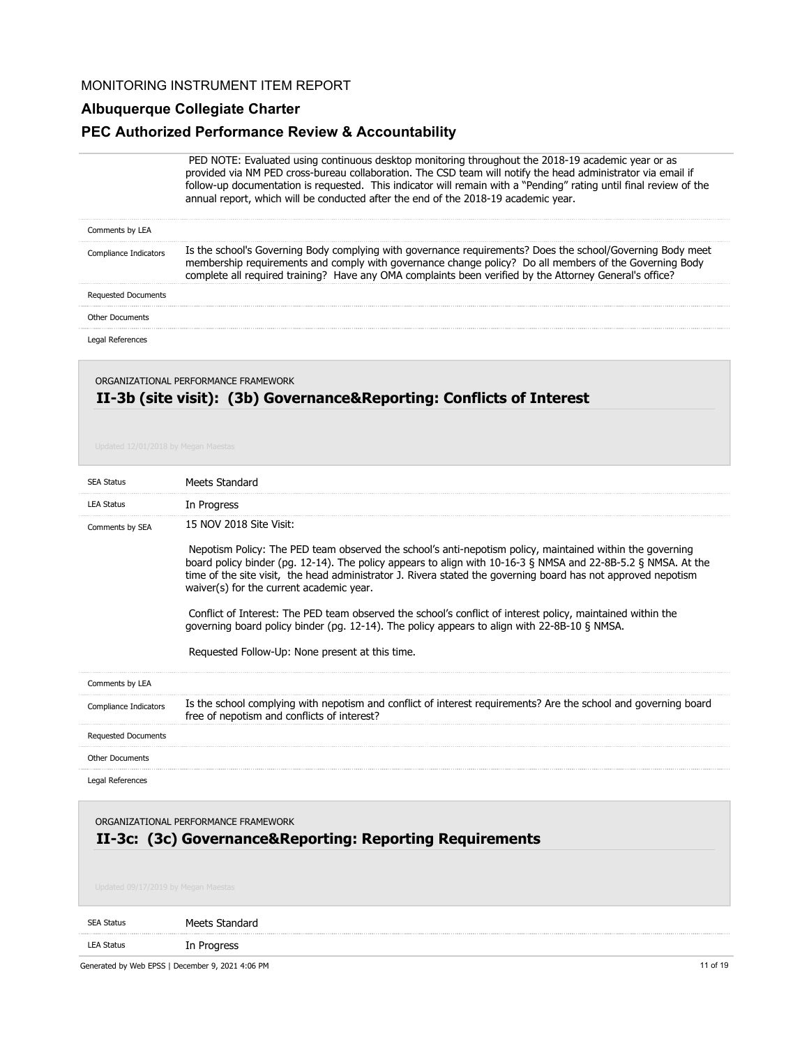#### **Albuquerque Collegiate Charter**

### **PEC Authorized Performance Review & Accountability**

 PED NOTE: Evaluated using continuous desktop monitoring throughout the 2018-19 academic year or as provided via NM PED cross-bureau collaboration. The CSD team will notify the head administrator via email if follow-up documentation is requested. This indicator will remain with a "Pending" rating until final review of the annual report, which will be conducted after the end of the 2018-19 academic year.

| Is the school's Governing Body complying with governance requirements? Does the school/Governing Body meet<br>dicators<br>membership requirements and comply with governance change policy? Do all members of the Governing Body<br>pplete all required training? Have any OMA complaints been verified by the Attorney General's office? |  |
|-------------------------------------------------------------------------------------------------------------------------------------------------------------------------------------------------------------------------------------------------------------------------------------------------------------------------------------------|--|
| <b>Requested Documents</b>                                                                                                                                                                                                                                                                                                                |  |
| Other Documents                                                                                                                                                                                                                                                                                                                           |  |
|                                                                                                                                                                                                                                                                                                                                           |  |

## **II-3b (site visit): (3b) Governance&Reporting: Conflicts of Interest** ORGANIZATIONAL PERFORMANCE FRAMEWORK

| <b>SEA Status</b>          | Meets Standard                                                                                                                                                                                                                                                                                                                                                                                                                                                                                                                                                                                                                    |
|----------------------------|-----------------------------------------------------------------------------------------------------------------------------------------------------------------------------------------------------------------------------------------------------------------------------------------------------------------------------------------------------------------------------------------------------------------------------------------------------------------------------------------------------------------------------------------------------------------------------------------------------------------------------------|
| <b>LEA Status</b>          | In Progress                                                                                                                                                                                                                                                                                                                                                                                                                                                                                                                                                                                                                       |
| Comments by SEA            | 15 NOV 2018 Site Visit:<br>Nepotism Policy: The PED team observed the school's anti-nepotism policy, maintained within the governing<br>board policy binder (pg. 12-14). The policy appears to align with 10-16-3 § NMSA and 22-8B-5.2 § NMSA. At the<br>time of the site visit, the head administrator J. Rivera stated the governing board has not approved nepotism<br>waiver(s) for the current academic year.<br>Conflict of Interest: The PED team observed the school's conflict of interest policy, maintained within the<br>governing board policy binder (pg. 12-14). The policy appears to align with 22-8B-10 § NMSA. |
|                            | Requested Follow-Up: None present at this time.                                                                                                                                                                                                                                                                                                                                                                                                                                                                                                                                                                                   |
| Comments by LEA            |                                                                                                                                                                                                                                                                                                                                                                                                                                                                                                                                                                                                                                   |
| Compliance Indicators      | Is the school complying with nepotism and conflict of interest requirements? Are the school and governing board<br>free of nepotism and conflicts of interest?                                                                                                                                                                                                                                                                                                                                                                                                                                                                    |
| <b>Requested Documents</b> |                                                                                                                                                                                                                                                                                                                                                                                                                                                                                                                                                                                                                                   |
| <b>Other Documents</b>     |                                                                                                                                                                                                                                                                                                                                                                                                                                                                                                                                                                                                                                   |
| Legal References           |                                                                                                                                                                                                                                                                                                                                                                                                                                                                                                                                                                                                                                   |

**II-3c: (3c) Governance&Reporting: Reporting Requirements** ORGANIZATIONAL PERFORMANCE FRAMEWORK

|                   | Generated by Web EPSS   December 9, 2021 4:06 PM | 11 of 19 |
|-------------------|--------------------------------------------------|----------|
| <b>LEA Status</b> | In Progress                                      |          |
| SEA Status        | Meets Standard                                   |          |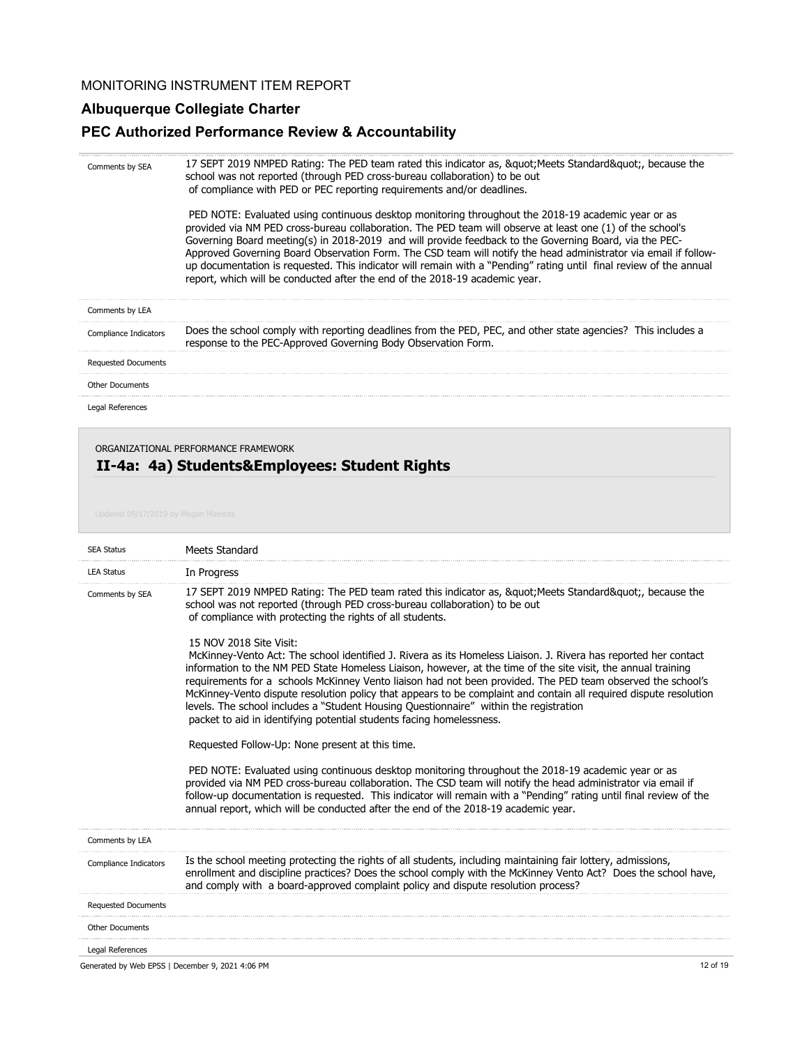#### **Albuquerque Collegiate Charter**

#### **PEC Authorized Performance Review & Accountability**

17 SEPT 2019 NMPED Rating: The PED team rated this indicator as, " Meets Standard", because the school was not reported (through PED cross-bureau collaboration) to be out of compliance with PED or PEC reporting requirements and/or deadlines. PED NOTE: Evaluated using continuous desktop monitoring throughout the 2018-19 academic year or as provided via NM PED cross-bureau collaboration. The PED team will observe at least one (1) of the school's Governing Board meeting(s) in 2018-2019 and will provide feedback to the Governing Board, via the PEC-Approved Governing Board Observation Form. The CSD team will notify the head administrator via email if followup documentation is requested. This indicator will remain with a "Pending" rating until final review of the annual report, which will be conducted after the end of the 2018-19 academic year. Does the school comply with reporting deadlines from the PED, PEC, and other state agencies? This includes a response to the PEC-Approved Governing Body Observation Form. Comments by SEA Comments by LEA Compliance Indicators Requested Documents Legal References Other Documents

#### ORGANIZATIONAL PERFORMANCE FRAMEWORK

### **II-4a: 4a) Students&Employees: Student Rights**

| <b>SEA Status</b>                                | Meets Standard                                                                                                                                                                                                                                                                                                                                                                                                                                                                                                                                                                                                                                                   |
|--------------------------------------------------|------------------------------------------------------------------------------------------------------------------------------------------------------------------------------------------------------------------------------------------------------------------------------------------------------------------------------------------------------------------------------------------------------------------------------------------------------------------------------------------------------------------------------------------------------------------------------------------------------------------------------------------------------------------|
| <b>LEA Status</b>                                | In Progress                                                                                                                                                                                                                                                                                                                                                                                                                                                                                                                                                                                                                                                      |
| Comments by SEA                                  | 17 SEPT 2019 NMPED Rating: The PED team rated this indicator as, " Meets Standard", because the<br>school was not reported (through PED cross-bureau collaboration) to be out<br>of compliance with protecting the rights of all students.                                                                                                                                                                                                                                                                                                                                                                                                                       |
|                                                  | 15 NOV 2018 Site Visit:<br>McKinney-Vento Act: The school identified J. Rivera as its Homeless Liaison. J. Rivera has reported her contact<br>information to the NM PED State Homeless Liaison, however, at the time of the site visit, the annual training<br>requirements for a schools McKinney Vento liaison had not been provided. The PED team observed the school's<br>McKinney-Vento dispute resolution policy that appears to be complaint and contain all required dispute resolution<br>levels. The school includes a "Student Housing Questionnaire" within the registration<br>packet to aid in identifying potential students facing homelessness. |
|                                                  | Requested Follow-Up: None present at this time.                                                                                                                                                                                                                                                                                                                                                                                                                                                                                                                                                                                                                  |
|                                                  | PED NOTE: Evaluated using continuous desktop monitoring throughout the 2018-19 academic year or as<br>provided via NM PED cross-bureau collaboration. The CSD team will notify the head administrator via email if<br>follow-up documentation is requested. This indicator will remain with a "Pending" rating until final review of the<br>annual report, which will be conducted after the end of the 2018-19 academic year.                                                                                                                                                                                                                                   |
| Comments by LEA                                  |                                                                                                                                                                                                                                                                                                                                                                                                                                                                                                                                                                                                                                                                  |
| Compliance Indicators                            | Is the school meeting protecting the rights of all students, including maintaining fair lottery, admissions,<br>enrollment and discipline practices? Does the school comply with the McKinney Vento Act? Does the school have,<br>and comply with a board-approved complaint policy and dispute resolution process?                                                                                                                                                                                                                                                                                                                                              |
| <b>Requested Documents</b>                       |                                                                                                                                                                                                                                                                                                                                                                                                                                                                                                                                                                                                                                                                  |
| <b>Other Documents</b>                           |                                                                                                                                                                                                                                                                                                                                                                                                                                                                                                                                                                                                                                                                  |
| Legal References                                 |                                                                                                                                                                                                                                                                                                                                                                                                                                                                                                                                                                                                                                                                  |
| Generated by Web EPSS   December 9, 2021 4:06 PM | 12 of 19                                                                                                                                                                                                                                                                                                                                                                                                                                                                                                                                                                                                                                                         |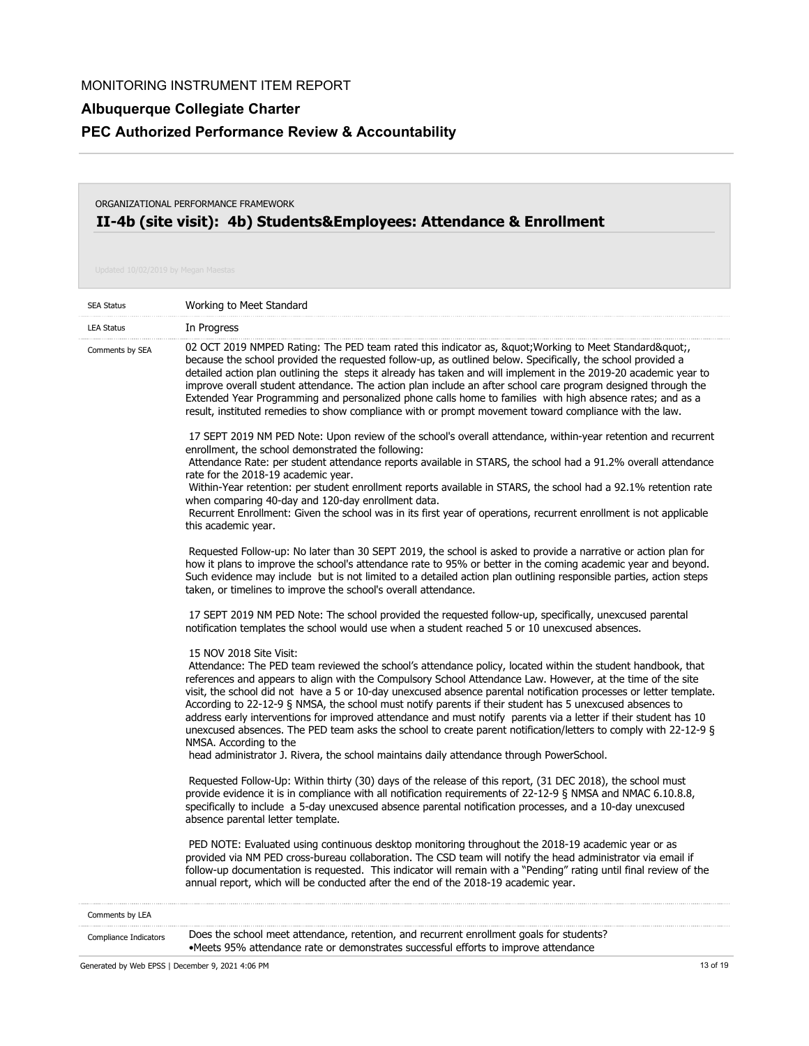# **Albuquerque Collegiate Charter**

# **PEC Authorized Performance Review & Accountability**

## **II-4b (site visit): 4b) Students&Employees: Attendance & Enrollment** ORGANIZATIONAL PERFORMANCE FRAMEWORK

| <b>SEA Status</b> | Working to Meet Standard                                                                                                                                                                                                                                                                                                                                                                                                                                                                                                                                                                                                                                                                                                                                                                                                                             |
|-------------------|------------------------------------------------------------------------------------------------------------------------------------------------------------------------------------------------------------------------------------------------------------------------------------------------------------------------------------------------------------------------------------------------------------------------------------------------------------------------------------------------------------------------------------------------------------------------------------------------------------------------------------------------------------------------------------------------------------------------------------------------------------------------------------------------------------------------------------------------------|
| <b>LEA Status</b> | In Progress                                                                                                                                                                                                                                                                                                                                                                                                                                                                                                                                                                                                                                                                                                                                                                                                                                          |
| Comments by SEA   | 02 OCT 2019 NMPED Rating: The PED team rated this indicator as, " Working to Meet Standard",<br>because the school provided the requested follow-up, as outlined below. Specifically, the school provided a<br>detailed action plan outlining the steps it already has taken and will implement in the 2019-20 academic year to<br>improve overall student attendance. The action plan include an after school care program designed through the<br>Extended Year Programming and personalized phone calls home to families with high absence rates; and as a<br>result, instituted remedies to show compliance with or prompt movement toward compliance with the law.                                                                                                                                                                              |
|                   | 17 SEPT 2019 NM PED Note: Upon review of the school's overall attendance, within-year retention and recurrent<br>enrollment, the school demonstrated the following:<br>Attendance Rate: per student attendance reports available in STARS, the school had a 91.2% overall attendance<br>rate for the 2018-19 academic year.                                                                                                                                                                                                                                                                                                                                                                                                                                                                                                                          |
|                   | Within-Year retention: per student enrollment reports available in STARS, the school had a 92.1% retention rate<br>when comparing 40-day and 120-day enrollment data.<br>Recurrent Enrollment: Given the school was in its first year of operations, recurrent enrollment is not applicable<br>this academic year.                                                                                                                                                                                                                                                                                                                                                                                                                                                                                                                                   |
|                   | Requested Follow-up: No later than 30 SEPT 2019, the school is asked to provide a narrative or action plan for<br>how it plans to improve the school's attendance rate to 95% or better in the coming academic year and beyond.<br>Such evidence may include but is not limited to a detailed action plan outlining responsible parties, action steps<br>taken, or timelines to improve the school's overall attendance.                                                                                                                                                                                                                                                                                                                                                                                                                             |
|                   | 17 SEPT 2019 NM PED Note: The school provided the requested follow-up, specifically, unexcused parental<br>notification templates the school would use when a student reached 5 or 10 unexcused absences.                                                                                                                                                                                                                                                                                                                                                                                                                                                                                                                                                                                                                                            |
|                   | 15 NOV 2018 Site Visit:<br>Attendance: The PED team reviewed the school's attendance policy, located within the student handbook, that<br>references and appears to align with the Compulsory School Attendance Law. However, at the time of the site<br>visit, the school did not have a 5 or 10-day unexcused absence parental notification processes or letter template.<br>According to 22-12-9 § NMSA, the school must notify parents if their student has 5 unexcused absences to<br>address early interventions for improved attendance and must notify parents via a letter if their student has 10<br>unexcused absences. The PED team asks the school to create parent notification/letters to comply with 22-12-9 §<br>NMSA. According to the<br>head administrator J. Rivera, the school maintains daily attendance through PowerSchool. |
|                   | Requested Follow-Up: Within thirty (30) days of the release of this report, (31 DEC 2018), the school must<br>provide evidence it is in compliance with all notification requirements of 22-12-9 § NMSA and NMAC 6.10.8.8,<br>specifically to include a 5-day unexcused absence parental notification processes, and a 10-day unexcused<br>absence parental letter template.                                                                                                                                                                                                                                                                                                                                                                                                                                                                         |
|                   | PED NOTE: Evaluated using continuous desktop monitoring throughout the 2018-19 academic year or as<br>provided via NM PED cross-bureau collaboration. The CSD team will notify the head administrator via email if<br>follow-up documentation is requested. This indicator will remain with a "Pending" rating until final review of the<br>annual report, which will be conducted after the end of the 2018-19 academic year.                                                                                                                                                                                                                                                                                                                                                                                                                       |
| Comments by LEA   |                                                                                                                                                                                                                                                                                                                                                                                                                                                                                                                                                                                                                                                                                                                                                                                                                                                      |

| <b>Compliance Indicators</b> | Does the school meet attendance, retention, and recurrent enrollment goals for students? |
|------------------------------|------------------------------------------------------------------------------------------|
|                              | •Meets 95% attendance rate or demonstrates successful efforts to improve attendance      |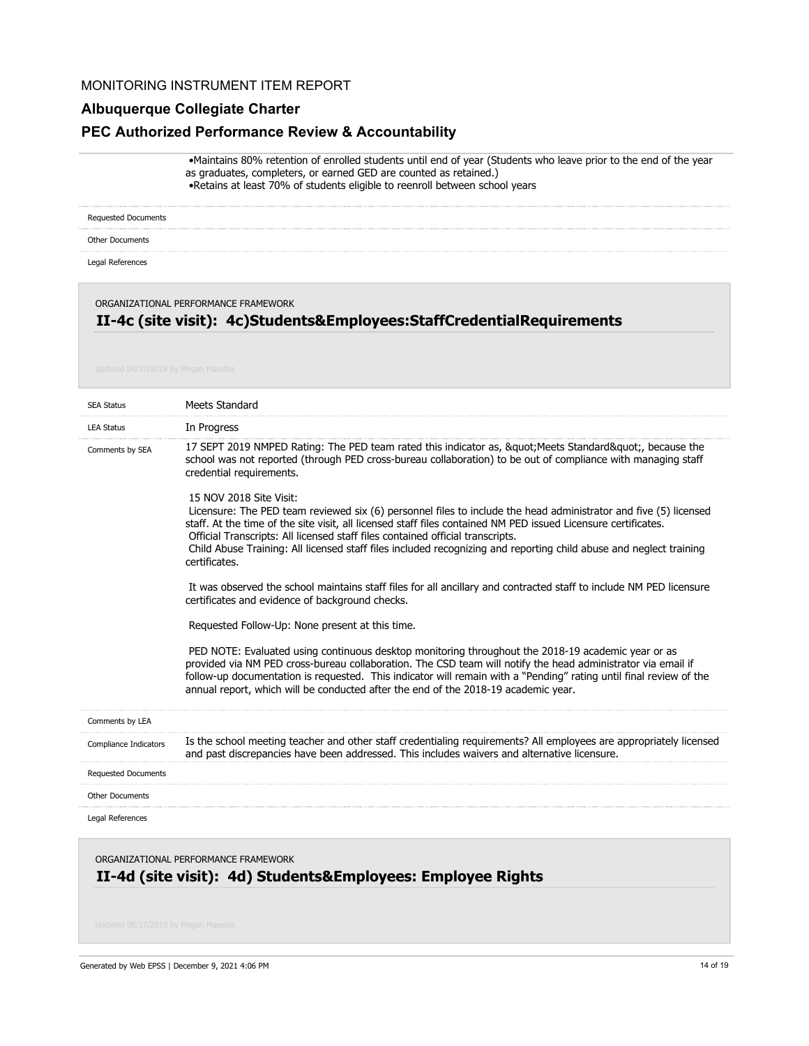### **Albuquerque Collegiate Charter**

#### **PEC Authorized Performance Review & Accountability**

 •Maintains 80% retention of enrolled students until end of year (Students who leave prior to the end of the year as graduates, completers, or earned GED are counted as retained.) •Retains at least 70% of students eligible to reenroll between school years

Requested Documents

Other Documents

Legal References

#### ORGANIZATIONAL PERFORMANCE FRAMEWORK

## **II-4c (site visit): 4c)Students&Employees:StaffCredentialRequirements**

| <b>SEA Status</b>          | Meets Standard                                                                                                                                                                                                                                                                                                                                                                                                                                                                         |
|----------------------------|----------------------------------------------------------------------------------------------------------------------------------------------------------------------------------------------------------------------------------------------------------------------------------------------------------------------------------------------------------------------------------------------------------------------------------------------------------------------------------------|
| <b>LEA Status</b>          | In Progress                                                                                                                                                                                                                                                                                                                                                                                                                                                                            |
| Comments by SEA            | 17 SEPT 2019 NMPED Rating: The PED team rated this indicator as, " Meets Standard", because the<br>school was not reported (through PED cross-bureau collaboration) to be out of compliance with managing staff<br>credential requirements.                                                                                                                                                                                                                                            |
|                            | 15 NOV 2018 Site Visit:<br>Licensure: The PED team reviewed six (6) personnel files to include the head administrator and five (5) licensed<br>staff. At the time of the site visit, all licensed staff files contained NM PED issued Licensure certificates.<br>Official Transcripts: All licensed staff files contained official transcripts.<br>Child Abuse Training: All licensed staff files included recognizing and reporting child abuse and neglect training<br>certificates. |
|                            | It was observed the school maintains staff files for all ancillary and contracted staff to include NM PED licensure<br>certificates and evidence of background checks.                                                                                                                                                                                                                                                                                                                 |
|                            | Requested Follow-Up: None present at this time.                                                                                                                                                                                                                                                                                                                                                                                                                                        |
|                            | PED NOTE: Evaluated using continuous desktop monitoring throughout the 2018-19 academic year or as<br>provided via NM PED cross-bureau collaboration. The CSD team will notify the head administrator via email if<br>follow-up documentation is requested. This indicator will remain with a "Pending" rating until final review of the<br>annual report, which will be conducted after the end of the 2018-19 academic year.                                                         |
| Comments by LEA            |                                                                                                                                                                                                                                                                                                                                                                                                                                                                                        |
| Compliance Indicators      | Is the school meeting teacher and other staff credentialing requirements? All employees are appropriately licensed<br>and past discrepancies have been addressed. This includes waivers and alternative licensure.                                                                                                                                                                                                                                                                     |
| <b>Requested Documents</b> |                                                                                                                                                                                                                                                                                                                                                                                                                                                                                        |
| <b>Other Documents</b>     |                                                                                                                                                                                                                                                                                                                                                                                                                                                                                        |
| Legal References           |                                                                                                                                                                                                                                                                                                                                                                                                                                                                                        |
|                            |                                                                                                                                                                                                                                                                                                                                                                                                                                                                                        |

**II-4d (site visit): 4d) Students&Employees: Employee Rights** ORGANIZATIONAL PERFORMANCE FRAMEWORK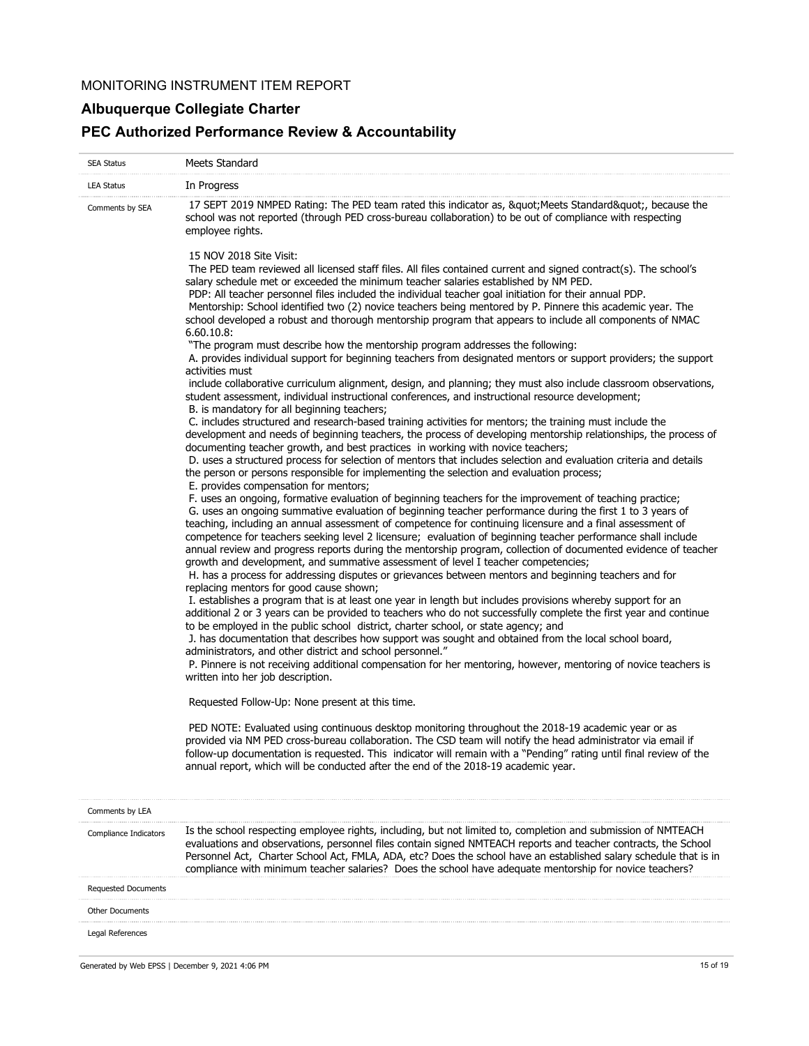# **Albuquerque Collegiate Charter**

# **PEC Authorized Performance Review & Accountability**

| <b>SEA Status</b>                                | Meets Standard                                                                                                                                                                                                                                                                                                                                                                                                                                                                                                                                                                                                                                                                                                                                                                                                                                                                                                                                                                                                                                                                                                                         |
|--------------------------------------------------|----------------------------------------------------------------------------------------------------------------------------------------------------------------------------------------------------------------------------------------------------------------------------------------------------------------------------------------------------------------------------------------------------------------------------------------------------------------------------------------------------------------------------------------------------------------------------------------------------------------------------------------------------------------------------------------------------------------------------------------------------------------------------------------------------------------------------------------------------------------------------------------------------------------------------------------------------------------------------------------------------------------------------------------------------------------------------------------------------------------------------------------|
| <b>LEA Status</b>                                | In Progress                                                                                                                                                                                                                                                                                                                                                                                                                                                                                                                                                                                                                                                                                                                                                                                                                                                                                                                                                                                                                                                                                                                            |
| Comments by SEA                                  | 17 SEPT 2019 NMPED Rating: The PED team rated this indicator as, " Meets Standard", because the<br>school was not reported (through PED cross-bureau collaboration) to be out of compliance with respecting<br>employee rights.                                                                                                                                                                                                                                                                                                                                                                                                                                                                                                                                                                                                                                                                                                                                                                                                                                                                                                        |
|                                                  | 15 NOV 2018 Site Visit:<br>The PED team reviewed all licensed staff files. All files contained current and signed contract(s). The school's<br>salary schedule met or exceeded the minimum teacher salaries established by NM PED.<br>PDP: All teacher personnel files included the individual teacher goal initiation for their annual PDP.<br>Mentorship: School identified two (2) novice teachers being mentored by P. Pinnere this academic year. The<br>school developed a robust and thorough mentorship program that appears to include all components of NMAC<br>6.60.10.8                                                                                                                                                                                                                                                                                                                                                                                                                                                                                                                                                    |
|                                                  | "The program must describe how the mentorship program addresses the following:<br>A. provides individual support for beginning teachers from designated mentors or support providers; the support<br>activities must                                                                                                                                                                                                                                                                                                                                                                                                                                                                                                                                                                                                                                                                                                                                                                                                                                                                                                                   |
|                                                  | include collaborative curriculum alignment, design, and planning; they must also include classroom observations,<br>student assessment, individual instructional conferences, and instructional resource development;<br>B. is mandatory for all beginning teachers;                                                                                                                                                                                                                                                                                                                                                                                                                                                                                                                                                                                                                                                                                                                                                                                                                                                                   |
|                                                  | C. includes structured and research-based training activities for mentors; the training must include the<br>development and needs of beginning teachers, the process of developing mentorship relationships, the process of<br>documenting teacher growth, and best practices in working with novice teachers;<br>D. uses a structured process for selection of mentors that includes selection and evaluation criteria and details<br>the person or persons responsible for implementing the selection and evaluation process;<br>E. provides compensation for mentors;                                                                                                                                                                                                                                                                                                                                                                                                                                                                                                                                                               |
|                                                  | F. uses an ongoing, formative evaluation of beginning teachers for the improvement of teaching practice;<br>G. uses an ongoing summative evaluation of beginning teacher performance during the first 1 to 3 years of<br>teaching, including an annual assessment of competence for continuing licensure and a final assessment of<br>competence for teachers seeking level 2 licensure; evaluation of beginning teacher performance shall include<br>annual review and progress reports during the mentorship program, collection of documented evidence of teacher<br>growth and development, and summative assessment of level I teacher competencies;<br>H. has a process for addressing disputes or grievances between mentors and beginning teachers and for<br>replacing mentors for good cause shown;<br>I. establishes a program that is at least one year in length but includes provisions whereby support for an<br>additional 2 or 3 years can be provided to teachers who do not successfully complete the first year and continue<br>to be employed in the public school district, charter school, or state agency; and |
|                                                  | J. has documentation that describes how support was sought and obtained from the local school board,<br>administrators, and other district and school personnel."<br>P. Pinnere is not receiving additional compensation for her mentoring, however, mentoring of novice teachers is<br>written into her job description.                                                                                                                                                                                                                                                                                                                                                                                                                                                                                                                                                                                                                                                                                                                                                                                                              |
|                                                  | Requested Follow-Up: None present at this time.                                                                                                                                                                                                                                                                                                                                                                                                                                                                                                                                                                                                                                                                                                                                                                                                                                                                                                                                                                                                                                                                                        |
|                                                  | PED NOTE: Evaluated using continuous desktop monitoring throughout the 2018-19 academic year or as<br>provided via NM PED cross-bureau collaboration. The CSD team will notify the head administrator via email if<br>follow-up documentation is requested. This indicator will remain with a "Pending" rating until final review of the<br>annual report, which will be conducted after the end of the 2018-19 academic year.                                                                                                                                                                                                                                                                                                                                                                                                                                                                                                                                                                                                                                                                                                         |
| Comments by LEA                                  |                                                                                                                                                                                                                                                                                                                                                                                                                                                                                                                                                                                                                                                                                                                                                                                                                                                                                                                                                                                                                                                                                                                                        |
| Compliance Indicators                            | Is the school respecting employee rights, including, but not limited to, completion and submission of NMTEACH<br>evaluations and observations, personnel files contain signed NMTEACH reports and teacher contracts, the School<br>Personnel Act, Charter School Act, FMLA, ADA, etc? Does the school have an established salary schedule that is in<br>compliance with minimum teacher salaries? Does the school have adequate mentorship for novice teachers?                                                                                                                                                                                                                                                                                                                                                                                                                                                                                                                                                                                                                                                                        |
| <b>Requested Documents</b>                       |                                                                                                                                                                                                                                                                                                                                                                                                                                                                                                                                                                                                                                                                                                                                                                                                                                                                                                                                                                                                                                                                                                                                        |
| <b>Other Documents</b>                           |                                                                                                                                                                                                                                                                                                                                                                                                                                                                                                                                                                                                                                                                                                                                                                                                                                                                                                                                                                                                                                                                                                                                        |
| Legal References                                 |                                                                                                                                                                                                                                                                                                                                                                                                                                                                                                                                                                                                                                                                                                                                                                                                                                                                                                                                                                                                                                                                                                                                        |
| Generated by Web EPSS   December 9, 2021 4:06 PM | 15 of 19                                                                                                                                                                                                                                                                                                                                                                                                                                                                                                                                                                                                                                                                                                                                                                                                                                                                                                                                                                                                                                                                                                                               |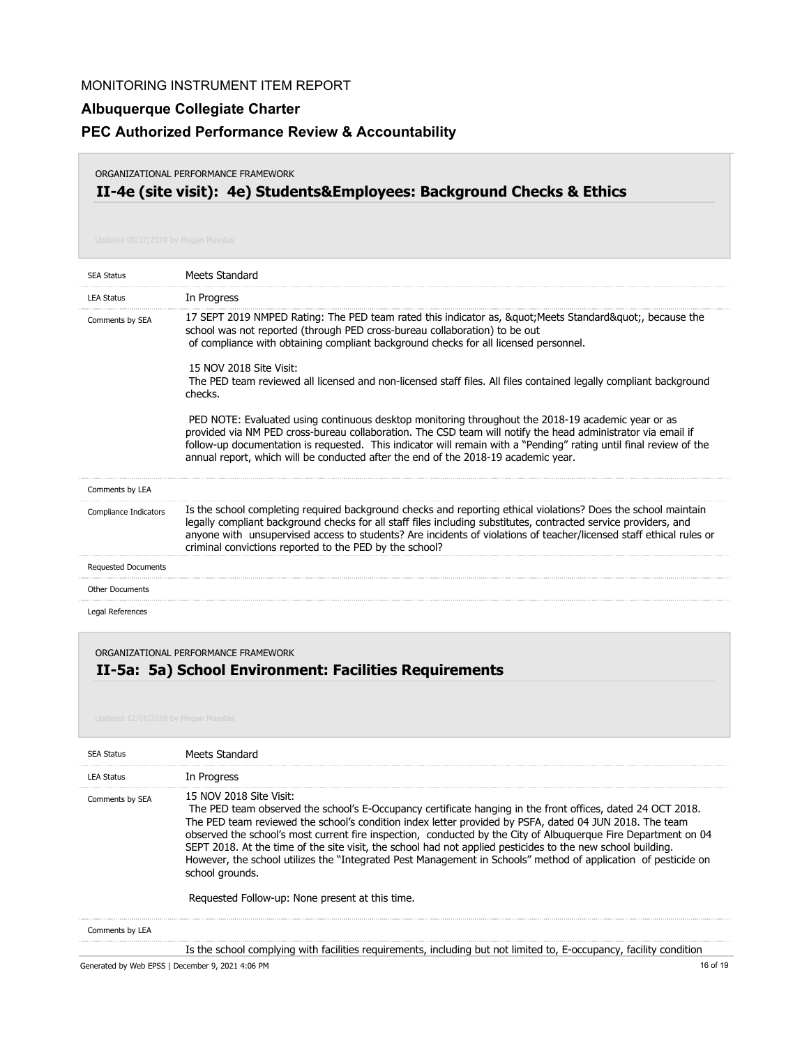### **Albuquerque Collegiate Charter**

### **PEC Authorized Performance Review & Accountability**

#### ORGANIZATIONAL PERFORMANCE FRAMEWORK

# **II-4e (site visit): 4e) Students&Employees: Background Checks & Ethics**

| <b>SEA Status</b>          | Meets Standard                                                                                                                                                                                                                                                                                                                                                                                                                 |
|----------------------------|--------------------------------------------------------------------------------------------------------------------------------------------------------------------------------------------------------------------------------------------------------------------------------------------------------------------------------------------------------------------------------------------------------------------------------|
| <b>LEA Status</b>          | In Progress                                                                                                                                                                                                                                                                                                                                                                                                                    |
| Comments by SEA            | 17 SEPT 2019 NMPED Rating: The PED team rated this indicator as, " Meets Standard", because the<br>school was not reported (through PED cross-bureau collaboration) to be out<br>of compliance with obtaining compliant background checks for all licensed personnel.                                                                                                                                                          |
|                            | 15 NOV 2018 Site Visit:<br>The PED team reviewed all licensed and non-licensed staff files. All files contained legally compliant background<br>checks.                                                                                                                                                                                                                                                                        |
|                            | PED NOTE: Evaluated using continuous desktop monitoring throughout the 2018-19 academic year or as<br>provided via NM PED cross-bureau collaboration. The CSD team will notify the head administrator via email if<br>follow-up documentation is requested. This indicator will remain with a "Pending" rating until final review of the<br>annual report, which will be conducted after the end of the 2018-19 academic year. |
| Comments by LEA            |                                                                                                                                                                                                                                                                                                                                                                                                                                |
| Compliance Indicators      | Is the school completing required background checks and reporting ethical violations? Does the school maintain<br>legally compliant background checks for all staff files including substitutes, contracted service providers, and<br>anyone with unsupervised access to students? Are incidents of violations of teacher/licensed staff ethical rules or<br>criminal convictions reported to the PED by the school?           |
| <b>Requested Documents</b> |                                                                                                                                                                                                                                                                                                                                                                                                                                |
| <b>Other Documents</b>     |                                                                                                                                                                                                                                                                                                                                                                                                                                |
| Legal References           |                                                                                                                                                                                                                                                                                                                                                                                                                                |

ORGANIZATIONAL PERFORMANCE FRAMEWORK

# **II-5a: 5a) School Environment: Facilities Requirements**

| <b>SEA Status</b> | Meets Standard                                                                                                                                                                                                                                                                                                                                                                                                                                                                                                                                                                                                                                                             |
|-------------------|----------------------------------------------------------------------------------------------------------------------------------------------------------------------------------------------------------------------------------------------------------------------------------------------------------------------------------------------------------------------------------------------------------------------------------------------------------------------------------------------------------------------------------------------------------------------------------------------------------------------------------------------------------------------------|
| <b>LEA Status</b> | In Progress                                                                                                                                                                                                                                                                                                                                                                                                                                                                                                                                                                                                                                                                |
| Comments by SEA   | 15 NOV 2018 Site Visit:<br>The PED team observed the school's E-Occupancy certificate hanging in the front offices, dated 24 OCT 2018.<br>The PED team reviewed the school's condition index letter provided by PSFA, dated 04 JUN 2018. The team<br>observed the school's most current fire inspection, conducted by the City of Albuquerque Fire Department on 04<br>SEPT 2018. At the time of the site visit, the school had not applied pesticides to the new school building.<br>However, the school utilizes the "Integrated Pest Management in Schools" method of application of pesticide on<br>school grounds.<br>Requested Follow-up: None present at this time. |
| Comments by LEA   |                                                                                                                                                                                                                                                                                                                                                                                                                                                                                                                                                                                                                                                                            |
|                   | Is the school complying with facilities requirements, including but not limited to, E-occupancy, facility condition                                                                                                                                                                                                                                                                                                                                                                                                                                                                                                                                                        |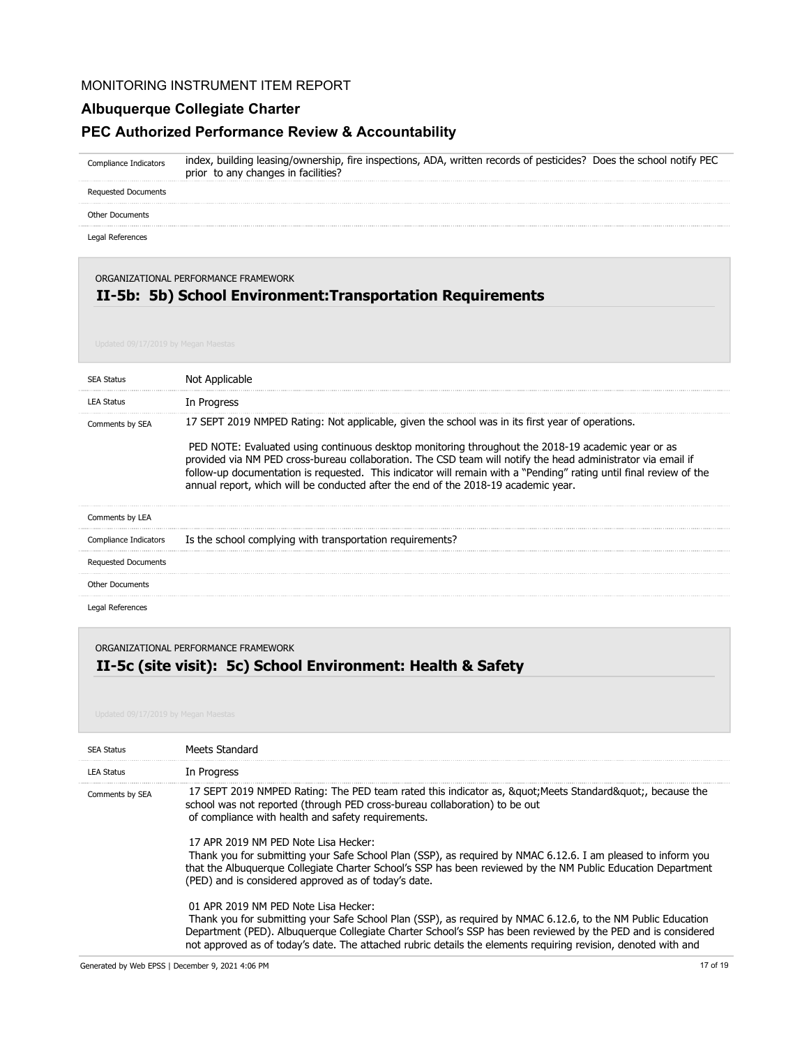#### **Albuquerque Collegiate Charter**

#### **PEC Authorized Performance Review & Accountability**

index, building leasing/ownership, fire inspections, ADA, written records of pesticides? Does the school notify PEC prior to any changes in facilities? Compliance Indicators

Requested Documents

Other Documents

Legal References

#### ORGANIZATIONAL PERFORMANCE FRAMEWORK

# **II-5b: 5b) School Environment:Transportation Requirements**

| <b>SFA Status</b>          | Not Applicable                                                                                                                                                                                                                                                                                                                                                                                                                                                                                                                     |
|----------------------------|------------------------------------------------------------------------------------------------------------------------------------------------------------------------------------------------------------------------------------------------------------------------------------------------------------------------------------------------------------------------------------------------------------------------------------------------------------------------------------------------------------------------------------|
| <b>LEA Status</b>          | In Progress                                                                                                                                                                                                                                                                                                                                                                                                                                                                                                                        |
| Comments by SEA            | 17 SEPT 2019 NMPED Rating: Not applicable, given the school was in its first year of operations.<br>PED NOTE: Evaluated using continuous desktop monitoring throughout the 2018-19 academic year or as<br>provided via NM PED cross-bureau collaboration. The CSD team will notify the head administrator via email if<br>follow-up documentation is requested. This indicator will remain with a "Pending" rating until final review of the<br>annual report, which will be conducted after the end of the 2018-19 academic year. |
| Comments by LEA            |                                                                                                                                                                                                                                                                                                                                                                                                                                                                                                                                    |
| Compliance Indicators      | Is the school complying with transportation requirements?                                                                                                                                                                                                                                                                                                                                                                                                                                                                          |
| <b>Requested Documents</b> |                                                                                                                                                                                                                                                                                                                                                                                                                                                                                                                                    |
| <b>Other Documents</b>     |                                                                                                                                                                                                                                                                                                                                                                                                                                                                                                                                    |
| Legal References           |                                                                                                                                                                                                                                                                                                                                                                                                                                                                                                                                    |

#### ORGANIZATIONAL PERFORMANCE FRAMEWORK

# **II-5c (site visit): 5c) School Environment: Health & Safety**

| <b>SEA Status</b> | Meets Standard                                                                                                                                                                                                                                                                                                                                                                         |
|-------------------|----------------------------------------------------------------------------------------------------------------------------------------------------------------------------------------------------------------------------------------------------------------------------------------------------------------------------------------------------------------------------------------|
| <b>LEA Status</b> | In Progress                                                                                                                                                                                                                                                                                                                                                                            |
| Comments by SEA   | 17 SEPT 2019 NMPED Rating: The PED team rated this indicator as, &guot Meets Standard&guot, because the<br>school was not reported (through PED cross-bureau collaboration) to be out<br>of compliance with health and safety requirements.                                                                                                                                            |
|                   | 17 APR 2019 NM PFD Note Lisa Hecker:<br>Thank you for submitting your Safe School Plan (SSP), as required by NMAC 6.12.6. I am pleased to inform you<br>that the Albuquerque Collegiate Charter School's SSP has been reviewed by the NM Public Education Department<br>(PED) and is considered approved as of today's date.                                                           |
|                   | 01 APR 2019 NM PFD Note Lisa Hecker:<br>Thank you for submitting your Safe School Plan (SSP), as reguired by NMAC 6.12.6, to the NM Public Education<br>Department (PED). Albuquerque Collegiate Charter School's SSP has been reviewed by the PED and is considered<br>not approved as of today's date. The attached rubric details the elements requiring revision, denoted with and |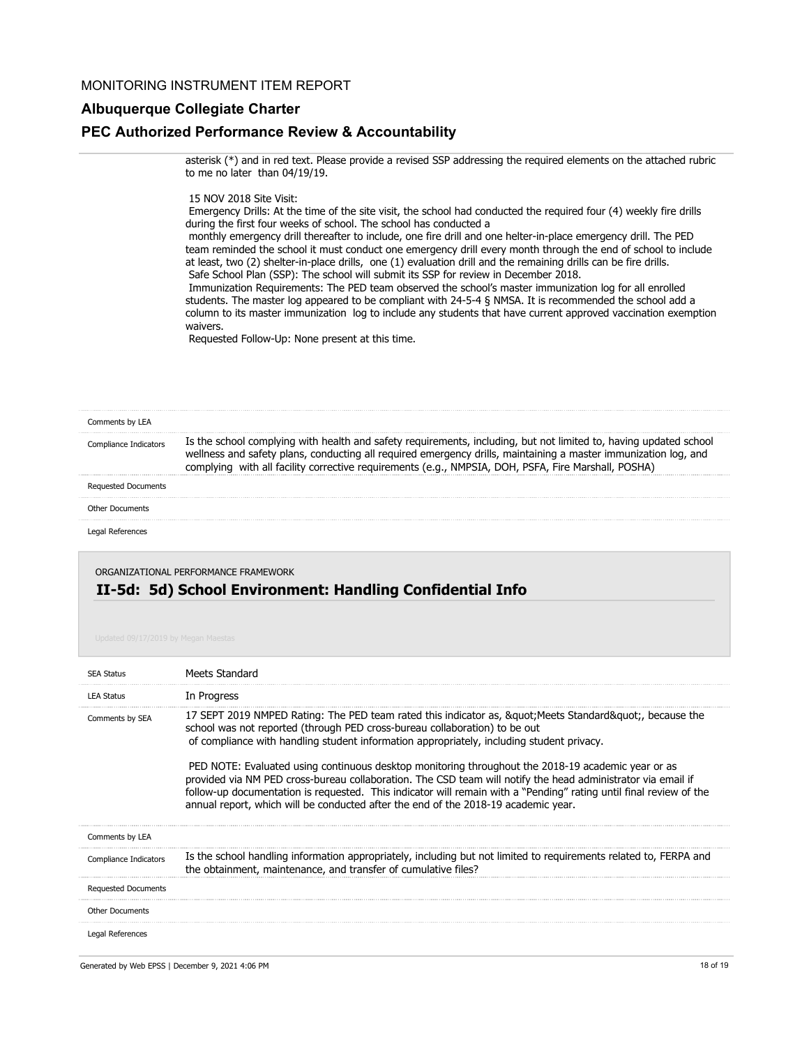#### **Albuquerque Collegiate Charter**

#### **PEC Authorized Performance Review & Accountability**

asterisk (\*) and in red text. Please provide a revised SSP addressing the required elements on the attached rubric to me no later than 04/19/19.

#### 15 NOV 2018 Site Visit:

 Emergency Drills: At the time of the site visit, the school had conducted the required four (4) weekly fire drills during the first four weeks of school. The school has conducted a

 monthly emergency drill thereafter to include, one fire drill and one helter-in-place emergency drill. The PED team reminded the school it must conduct one emergency drill every month through the end of school to include at least, two (2) shelter-in-place drills, one (1) evaluation drill and the remaining drills can be fire drills. Safe School Plan (SSP): The school will submit its SSP for review in December 2018.

 Immunization Requirements: The PED team observed the school's master immunization log for all enrolled students. The master log appeared to be compliant with 24-5-4 § NMSA. It is recommended the school add a column to its master immunization log to include any students that have current approved vaccination exemption waivers.

Requested Follow-Up: None present at this time.

| Comments by LEA            |                                                                                                                                                                                                                                                                                                                                                |
|----------------------------|------------------------------------------------------------------------------------------------------------------------------------------------------------------------------------------------------------------------------------------------------------------------------------------------------------------------------------------------|
| liance Indicators          | Is the school complying with health and safety requirements, including, but not limited to, having updated school<br>wellness and safety plans, conducting all required emergency drills, maintaining a master immunization log, and<br>with all facility corrective requirements (e.g., NMPSIA, DOH, PSFA, Fire Marshall, POSHA)<br>complvina |
| <b>Requested Documents</b> |                                                                                                                                                                                                                                                                                                                                                |
| <b>Other Documents</b>     |                                                                                                                                                                                                                                                                                                                                                |
| Legal References           |                                                                                                                                                                                                                                                                                                                                                |
|                            |                                                                                                                                                                                                                                                                                                                                                |

ORGANIZATIONAL PERFORMANCE FRAMEWORK

#### **II-5d: 5d) School Environment: Handling Confidential Info**

| <b>SEA Status</b>          | Meets Standard                                                                                                                                                                                                                                                                                                                                                                                                                                                                                                                                                                                                                                                                                                       |
|----------------------------|----------------------------------------------------------------------------------------------------------------------------------------------------------------------------------------------------------------------------------------------------------------------------------------------------------------------------------------------------------------------------------------------------------------------------------------------------------------------------------------------------------------------------------------------------------------------------------------------------------------------------------------------------------------------------------------------------------------------|
| <b>LEA Status</b>          | In Progress                                                                                                                                                                                                                                                                                                                                                                                                                                                                                                                                                                                                                                                                                                          |
| Comments by SEA            | 17 SEPT 2019 NMPED Rating: The PED team rated this indicator as, &guot Meets Standard&guot, because the<br>school was not reported (through PED cross-bureau collaboration) to be out<br>of compliance with handling student information appropriately, including student privacy.<br>PED NOTE: Evaluated using continuous desktop monitoring throughout the 2018-19 academic year or as<br>provided via NM PED cross-bureau collaboration. The CSD team will notify the head administrator via email if<br>follow-up documentation is requested. This indicator will remain with a "Pending" rating until final review of the<br>annual report, which will be conducted after the end of the 2018-19 academic year. |
| Comments by LEA            |                                                                                                                                                                                                                                                                                                                                                                                                                                                                                                                                                                                                                                                                                                                      |
| Compliance Indicators      | Is the school handling information appropriately, including but not limited to requirements related to, FERPA and<br>the obtainment, maintenance, and transfer of cumulative files?                                                                                                                                                                                                                                                                                                                                                                                                                                                                                                                                  |
| <b>Requested Documents</b> |                                                                                                                                                                                                                                                                                                                                                                                                                                                                                                                                                                                                                                                                                                                      |
| <b>Other Documents</b>     |                                                                                                                                                                                                                                                                                                                                                                                                                                                                                                                                                                                                                                                                                                                      |
| Legal References           |                                                                                                                                                                                                                                                                                                                                                                                                                                                                                                                                                                                                                                                                                                                      |